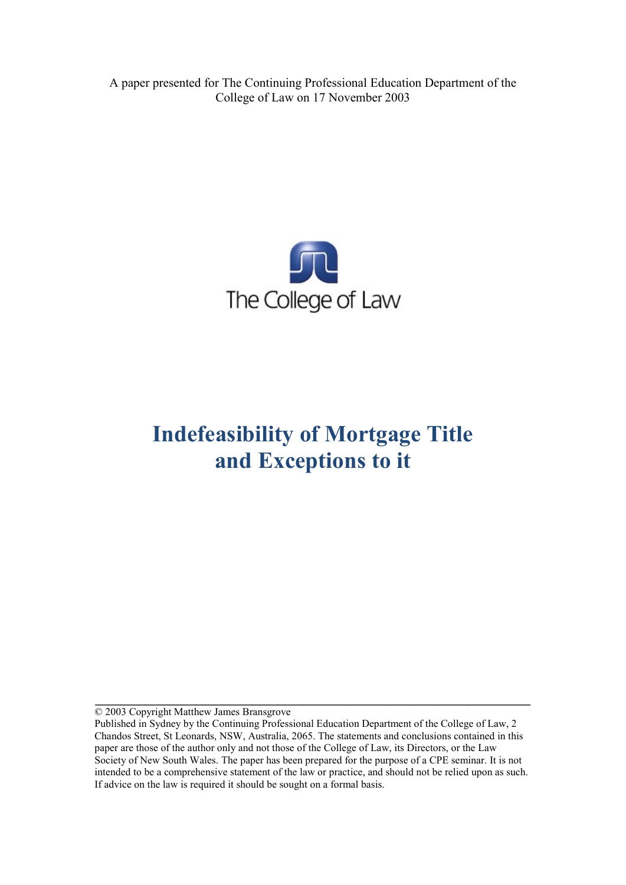A paper presented for The Continuing Professional Education Department of the College of Law on 17 November 2003



# **Indefeasibility of Mortgage Title and Exceptions to it**

© 2003 Copyright Matthew James Bransgrove

**\_\_\_\_\_\_\_\_\_\_\_\_\_\_\_\_\_\_\_\_\_\_\_\_\_\_\_\_\_\_\_\_\_\_\_\_\_\_\_\_\_\_\_\_\_\_\_\_\_\_\_\_\_\_\_\_\_\_\_\_\_\_\_\_\_\_\_\_\_** 

Published in Sydney by the Continuing Professional Education Department of the College of Law, 2 Chandos Street, St Leonards, NSW, Australia, 2065. The statements and conclusions contained in this paper are those of the author only and not those of the College of Law, its Directors, or the Law Society of New South Wales. The paper has been prepared for the purpose of a CPE seminar. It is not intended to be a comprehensive statement of the law or practice, and should not be relied upon as such. If advice on the law is required it should be sought on a formal basis.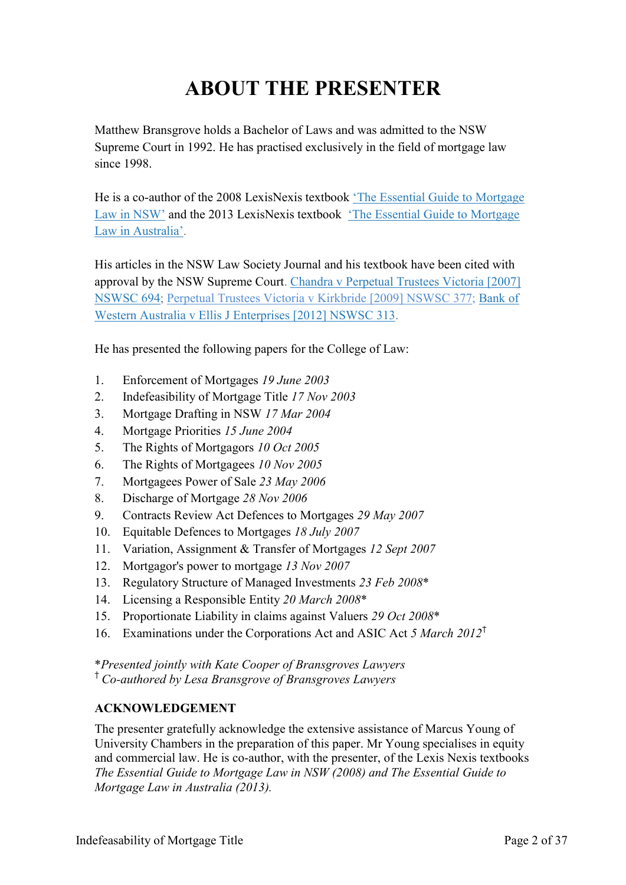# **ABOUT THE PRESENTER**

Matthew Bransgrove holds a Bachelor of Laws and was admitted to the NSW Supreme Court in 1992. He has practised exclusively in the field of mortgage law since 1998.

He is a co-author of the 2008 LexisNexis textbook ['The Essential Guide to Mortgage](http://www.bransgroves.com.au/documents/PDF/Book/OrderForm3LR.pdf) [Law in](http://www.bransgroves.com.au/documents/PDF/Book/OrderForm3LR.pdf) NSW' and the 2013 LexisNexis textbook ['The Essential Guide to Mortgage](http://www.bransgroves.com.au/documents/PDF/Book/EGMLA2ndEdition.pdf) Law in [Australia'.](http://www.bransgroves.com.au/documents/PDF/Book/EGMLA2ndEdition.pdf)

His articles in the NSW Law Society Journal and his textbook have been cited with approval by the NSW Supreme Court. [Chandra v Perpetual Trustees Victoria \[2007\]](http://www.austlii.edu.au/au/cases/nsw/NSWSC/2007/694.html) [NSWSC 694;](http://www.austlii.edu.au/au/cases/nsw/NSWSC/2007/694.html) [Perpetual Trustees Victoria v Kirkbride \[2009\] NSWSC 377;](http://www.austlii.edu.au/au/cases/nsw/NSWSC/2009/377.html) [Bank](http://www.austlii.edu.au/au/cases/nsw/NSWSC/2012/313.html) of [Western Australia v Ellis J Enterprises](http://www.austlii.edu.au/au/cases/nsw/NSWSC/2012/313.html) [2012] NSWSC 313.

He has presented the following papers for the College of Law:

- 1. Enforcement of Mortgages *19 June 2003*
- 2. Indefeasibility of Mortgage Title *17 Nov 2003*
- 3. Mortgage Drafting in NSW *17 Mar 2004*
- 4. Mortgage Priorities *15 June 2004*
- 5. The Rights of Mortgagors *10 Oct 2005*
- 6. The Rights of Mortgagees *10 Nov 2005*
- 7. Mortgagees Power of Sale *23 May 2006*
- 8. Discharge of Mortgage *28 Nov 2006*
- 9. Contracts Review Act Defences to Mortgages *29 May 2007*
- 10. Equitable Defences to Mortgages *18 July 2007*
- 11. Variation, Assignment & Transfer of Mortgages *12 Sept 2007*
- 12. Mortgagor's power to mortgage *13 Nov 2007*
- 13. Regulatory Structure of Managed Investments *23 Feb 2008*\*
- 14. Licensing a Responsible Entity *20 March 2008*\*
- 15. Proportionate Liability in claims against Valuers *29 Oct 2008*\*
- 16. Examinations under the Corporations Act and ASIC Act *5 March 2012*†

\**Presented jointly with Kate Cooper of Bransgroves Lawyers*

† *Co-authored by Lesa Bransgrove of Bransgroves Lawyers*

#### **ACKNOWLEDGEMENT**

The presenter gratefully acknowledge the extensive assistance of Marcus Young of University Chambers in the preparation of this paper. Mr Young specialises in equity and commercial law. He is co-author, with the presenter, of the Lexis Nexis textbooks *The Essential Guide to Mortgage Law in NSW (2008) and The Essential Guide to Mortgage Law in Australia (2013).*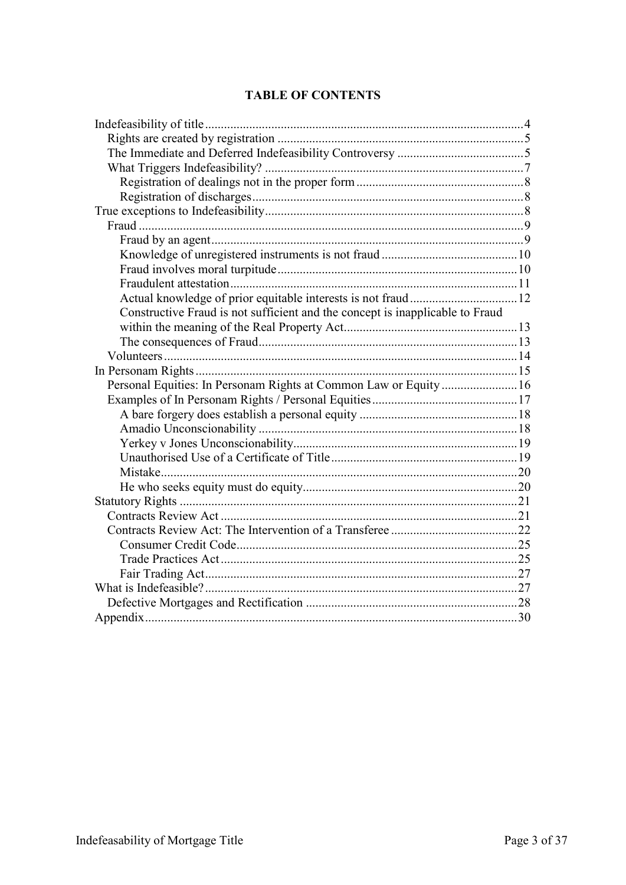### **TABLE OF CONTENTS**

| Constructive Fraud is not sufficient and the concept is inapplicable to Fraud |  |
|-------------------------------------------------------------------------------|--|
|                                                                               |  |
|                                                                               |  |
|                                                                               |  |
|                                                                               |  |
| Personal Equities: In Personam Rights at Common Law or Equity  16             |  |
|                                                                               |  |
|                                                                               |  |
|                                                                               |  |
|                                                                               |  |
|                                                                               |  |
|                                                                               |  |
|                                                                               |  |
|                                                                               |  |
|                                                                               |  |
|                                                                               |  |
|                                                                               |  |
|                                                                               |  |
|                                                                               |  |
|                                                                               |  |
|                                                                               |  |
|                                                                               |  |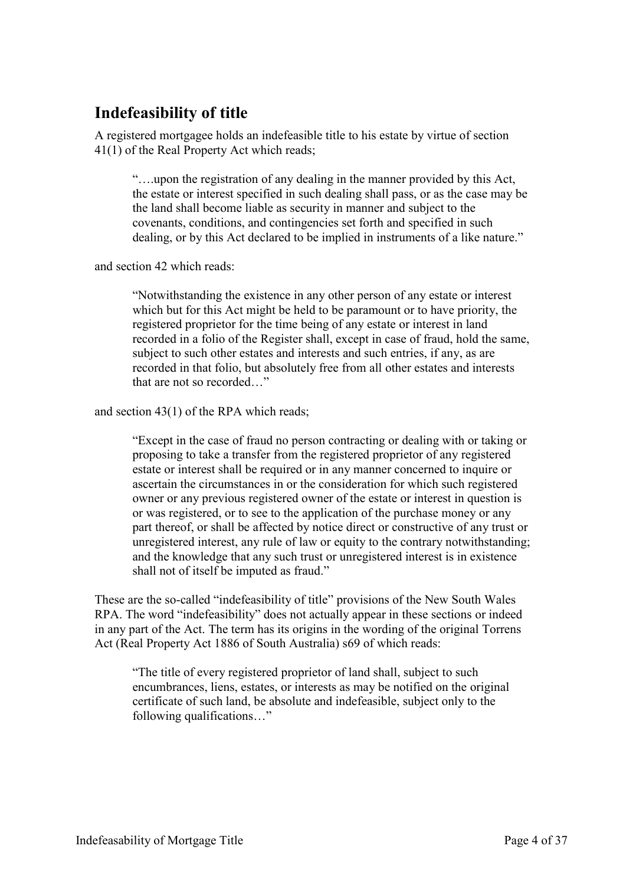# <span id="page-3-0"></span>**Indefeasibility of title**

A registered mortgagee holds an indefeasible title to his estate by virtue of section 41(1) of the Real Property Act which reads;

"….upon the registration of any dealing in the manner provided by this Act, the estate or interest specified in such dealing shall pass, or as the case may be the land shall become liable as security in manner and subject to the covenants, conditions, and contingencies set forth and specified in such dealing, or by this Act declared to be implied in instruments of a like nature."

and section 42 which reads:

"Notwithstanding the existence in any other person of any estate or interest which but for this Act might be held to be paramount or to have priority, the registered proprietor for the time being of any estate or interest in land recorded in a folio of the Register shall, except in case of fraud, hold the same, subject to such other estates and interests and such entries, if any, as are recorded in that folio, but absolutely free from all other estates and interests that are not so recorded "

and section 43(1) of the RPA which reads;

"Except in the case of fraud no person contracting or dealing with or taking or proposing to take a transfer from the registered proprietor of any registered estate or interest shall be required or in any manner concerned to inquire or ascertain the circumstances in or the consideration for which such registered owner or any previous registered owner of the estate or interest in question is or was registered, or to see to the application of the purchase money or any part thereof, or shall be affected by notice direct or constructive of any trust or unregistered interest, any rule of law or equity to the contrary notwithstanding; and the knowledge that any such trust or unregistered interest is in existence shall not of itself be imputed as fraud."

These are the so-called "indefeasibility of title" provisions of the New South Wales RPA. The word "indefeasibility" does not actually appear in these sections or indeed in any part of the Act. The term has its origins in the wording of the original Torrens Act (Real Property Act 1886 of South Australia) s69 of which reads:

"The title of every registered proprietor of land shall, subject to such encumbrances, liens, estates, or interests as may be notified on the original certificate of such land, be absolute and indefeasible, subject only to the following qualifications…"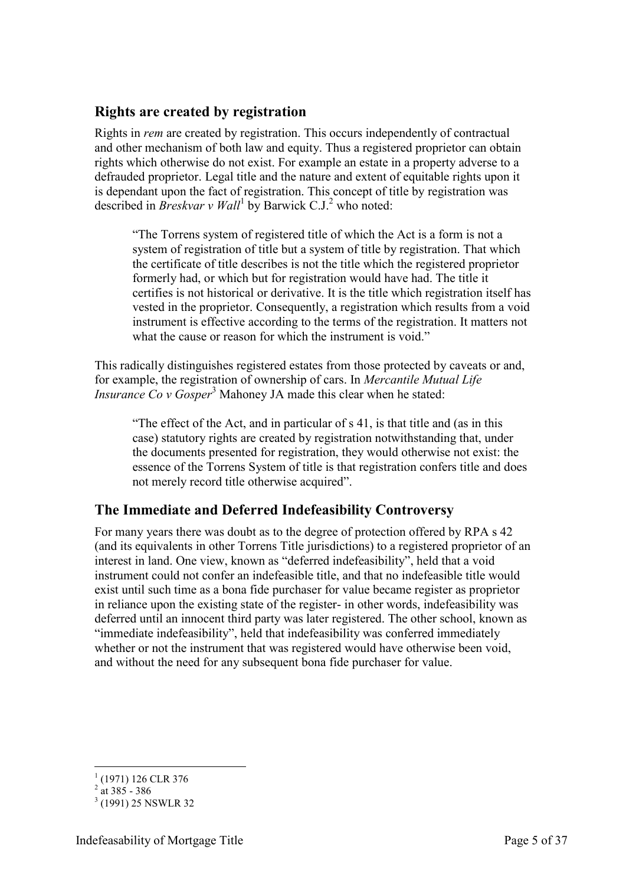### <span id="page-4-0"></span>**Rights are created by registration**

Rights in *rem* are created by registration. This occurs independently of contractual and other mechanism of both law and equity. Thus a registered proprietor can obtain rights which otherwise do not exist. For example an estate in a property adverse to a defrauded proprietor. Legal title and the nature and extent of equitable rights upon it is dependant upon the fact of registration. This concept of title by registration was described in *Breskvar v Wall*<sup>1</sup> by Barwick C.J.<sup>2</sup> who noted:

"The Torrens system of registered title of which the Act is a form is not a system of registration of title but a system of title by registration. That which the certificate of title describes is not the title which the registered proprietor formerly had, or which but for registration would have had. The title it certifies is not historical or derivative. It is the title which registration itself has vested in the proprietor. Consequently, a registration which results from a void instrument is effective according to the terms of the registration. It matters not what the cause or reason for which the instrument is void."

This radically distinguishes registered estates from those protected by caveats or and, for example, the registration of ownership of cars. In *Mercantile Mutual Life Insurance Co v Gosper*<sup>3</sup> Mahoney JA made this clear when he stated:

"The effect of the Act, and in particular of s 41, is that title and (as in this case) statutory rights are created by registration notwithstanding that, under the documents presented for registration, they would otherwise not exist: the essence of the Torrens System of title is that registration confers title and does not merely record title otherwise acquired".

## <span id="page-4-1"></span>**The Immediate and Deferred Indefeasibility Controversy**

For many years there was doubt as to the degree of protection offered by RPA s 42 (and its equivalents in other Torrens Title jurisdictions) to a registered proprietor of an interest in land. One view, known as "deferred indefeasibility", held that a void instrument could not confer an indefeasible title, and that no indefeasible title would exist until such time as a bona fide purchaser for value became register as proprietor in reliance upon the existing state of the register- in other words, indefeasibility was deferred until an innocent third party was later registered. The other school, known as "immediate indefeasibility", held that indefeasibility was conferred immediately whether or not the instrument that was registered would have otherwise been void, and without the need for any subsequent bona fide purchaser for value.

 1 (1971) 126 CLR 376

 $^{2}$  at 385 - 386

<sup>&</sup>lt;sup>3</sup> (1991) 25 NSWLR 32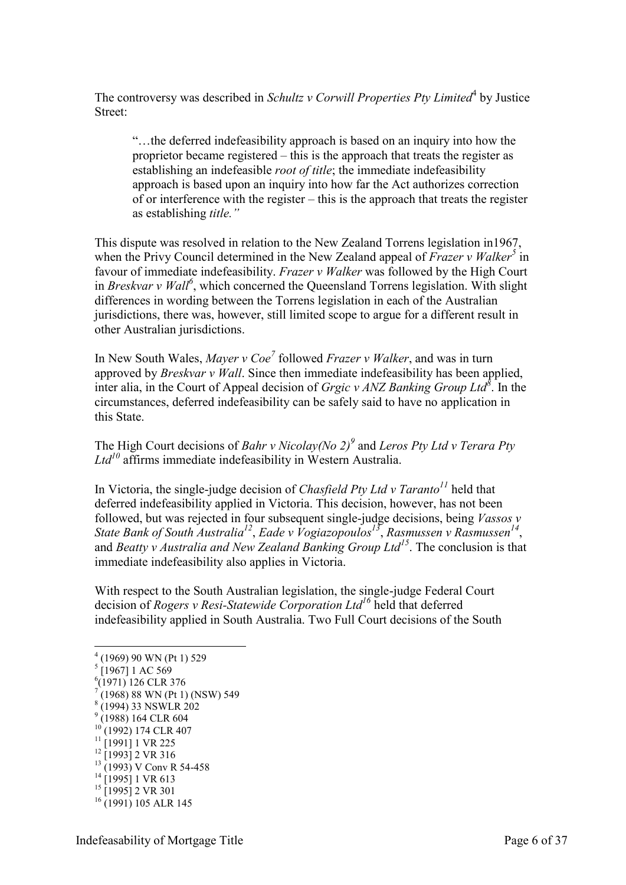The controversy was described in *Schultz v Corwill Properties Pty Limited*<sup>4</sup> by Justice Street:

"…the deferred indefeasibility approach is based on an inquiry into how the proprietor became registered – this is the approach that treats the register as establishing an indefeasible *root of title*; the immediate indefeasibility approach is based upon an inquiry into how far the Act authorizes correction of or interference with the register – this is the approach that treats the register as establishing *title."*

This dispute was resolved in relation to the New Zealand Torrens legislation in1967, when the Privy Council determined in the New Zealand appeal of *Frazer v Walker<sup>5</sup>* in favour of immediate indefeasibility. *Frazer v Walker* was followed by the High Court in *Breskvar v Wall<sup>6</sup>* , which concerned the Queensland Torrens legislation. With slight differences in wording between the Torrens legislation in each of the Australian jurisdictions, there was, however, still limited scope to argue for a different result in other Australian jurisdictions.

In New South Wales, *Mayer v Coe<sup>7</sup>* followed *Frazer v Walker*, and was in turn approved by *Breskvar v Wall*. Since then immediate indefeasibility has been applied, inter alia, in the Court of Appeal decision of *Grgic v ANZ Banking Group Ltd<sup>8</sup>* . In the circumstances, deferred indefeasibility can be safely said to have no application in this State.

The High Court decisions of *Bahr v Nicolay(No 2)<sup>9</sup>* and *Leros Pty Ltd v Terara Pty Ltd<sup>10</sup>* affirms immediate indefeasibility in Western Australia.

In Victoria, the single-judge decision of *Chasfield Pty Ltd v Taranto<sup>11</sup>* held that deferred indefeasibility applied in Victoria. This decision, however, has not been followed, but was rejected in four subsequent single-judge decisions, being *Vassos v State Bank of South Australia<sup>12</sup>* , *Eade v Vogiazopoulos<sup>13</sup>* , *Rasmussen v Rasmussen<sup>14</sup>* , and *Beatty v Australia and New Zealand Banking Group Ltd<sup>15</sup>*. The conclusion is that immediate indefeasibility also applies in Victoria.

With respect to the South Australian legislation, the single-judge Federal Court decision of *Rogers v Resi-Statewide Corporation Ltd<sup>16</sup>* held that deferred indefeasibility applied in South Australia. Two Full Court decisions of the South

<u>.</u>

- $11$  [1991] 1 VR 225  $12$  [1993] 2 VR 316
- <sup>13</sup> (1993) V Conv R 54-458
- $14$  [1995] 1 VR 613
- <sup>15</sup> [1995] 2 VR 301
- $16$  (1991) 105 ALR 145

<sup>4</sup> (1969) 90 WN (Pt 1) 529 5 [1967] 1 AC 569

<sup>6</sup> (1971) 126 CLR 376

 $(1968)$  88 WN (Pt 1) (NSW) 549

<sup>8</sup> (1994) 33 NSWLR 202

<sup>&</sup>lt;sup>9</sup> (1988) 164 CLR 604

<sup>&</sup>lt;sup>10</sup> (1992) 174 CLR 407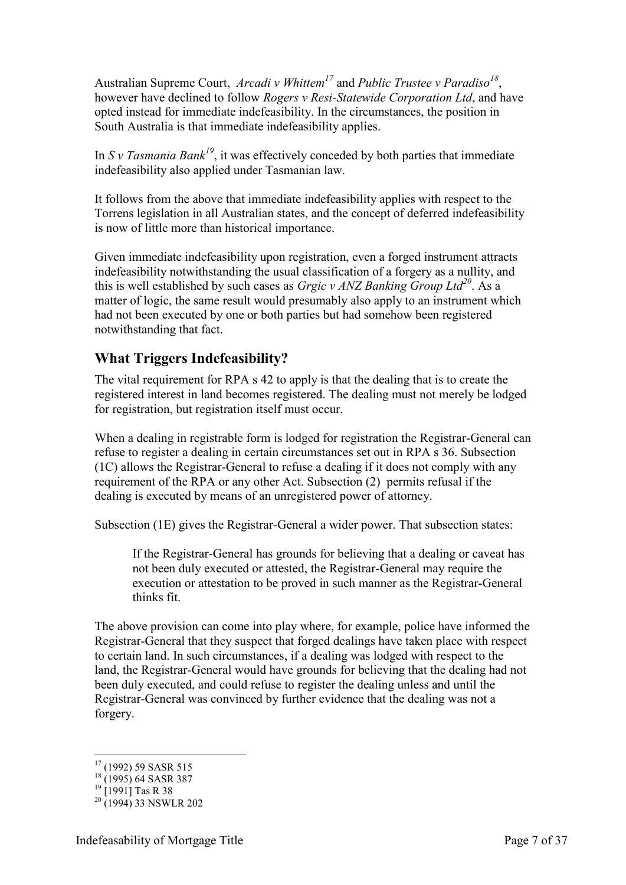Australian Supreme Court, *Arcadi v Whittem<sup>17</sup>* and *Public Trustee v Paradiso<sup>18</sup>* , however have declined to follow *Rogers v Resi-Statewide Corporation Ltd*, and have opted instead for immediate indefeasibility. In the circumstances, the position in South Australia is that immediate indefeasibility applies.

In *S v Tasmania Bank<sup>19</sup>*, it was effectively conceded by both parties that immediate indefeasibility also applied under Tasmanian law.

It follows from the above that immediate indefeasibility applies with respect to the Torrens legislation in all Australian states, and the concept of deferred indefeasibility is now of little more than historical importance.

Given immediate indefeasibility upon registration, even a forged instrument attracts indefeasibility notwithstanding the usual classification of a forgery as a nullity, and this is well established by such cases as *Grgic v ANZ Banking Group Ltd<sup>20</sup>*. As a matter of logic, the same result would presumably also apply to an instrument which had not been executed by one or both parties but had somehow been registered notwithstanding that fact.

## <span id="page-6-0"></span>**What Triggers Indefeasibility?**

The vital requirement for RPA s 42 to apply is that the dealing that is to create the registered interest in land becomes registered. The dealing must not merely be lodged for registration, but registration itself must occur.

When a dealing in registrable form is lodged for registration the Registrar-General can refuse to register a dealing in certain circumstances set out in RPA s 36. Subsection (1C) allows the Registrar-General to refuse a dealing if it does not comply with any requirement of the RPA or any other Act. Subsection (2) permits refusal if the dealing is executed by means of an unregistered power of attorney.

Subsection (1E) gives the Registrar-General a wider power. That subsection states:

If the Registrar-General has grounds for believing that a dealing or caveat has not been duly executed or attested, the Registrar-General may require the execution or attestation to be proved in such manner as the Registrar-General thinks fit.

The above provision can come into play where, for example, police have informed the Registrar-General that they suspect that forged dealings have taken place with respect to certain land. In such circumstances, if a dealing was lodged with respect to the land, the Registrar-General would have grounds for believing that the dealing had not been duly executed, and could refuse to register the dealing unless and until the Registrar-General was convinced by further evidence that the dealing was not a forgery.

-

<sup>17</sup> (1992) 59 SASR 515

 $18$  (1995) 64 SASR 387

 $^{19}$  [1991] Tas R 38

 $20(1994)$  33 NSWLR 202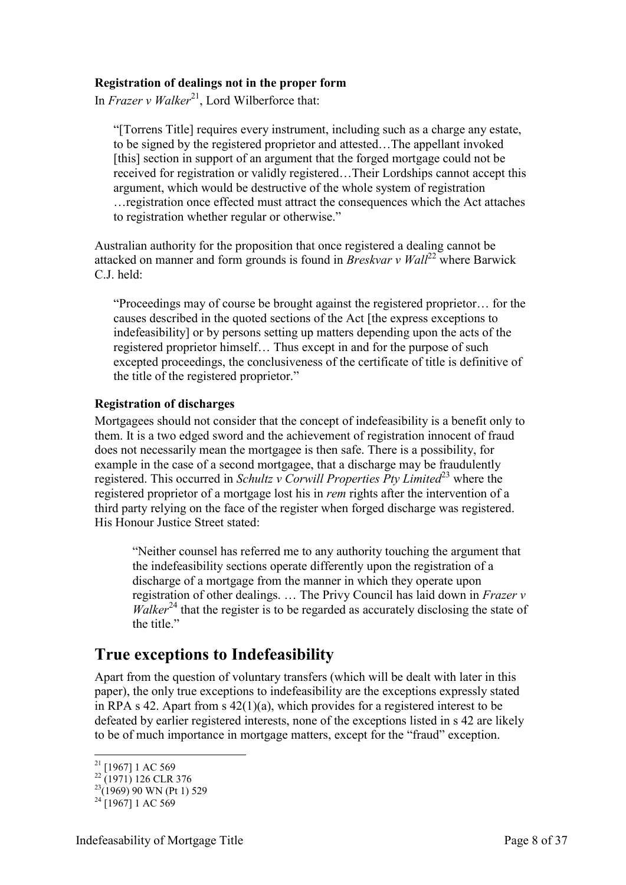#### <span id="page-7-0"></span>**Registration of dealings not in the proper form**

In *Frazer v Walker*<sup>21</sup>, Lord Wilberforce that:

"[Torrens Title] requires every instrument, including such as a charge any estate, to be signed by the registered proprietor and attested…The appellant invoked [this] section in support of an argument that the forged mortgage could not be received for registration or validly registered…Their Lordships cannot accept this argument, which would be destructive of the whole system of registration …registration once effected must attract the consequences which the Act attaches to registration whether regular or otherwise."

Australian authority for the proposition that once registered a dealing cannot be attacked on manner and form grounds is found in *Breskvar v Wall*<sup>22</sup> where Barwick C.J. held:

"Proceedings may of course be brought against the registered proprietor… for the causes described in the quoted sections of the Act [the express exceptions to indefeasibility] or by persons setting up matters depending upon the acts of the registered proprietor himself… Thus except in and for the purpose of such excepted proceedings, the conclusiveness of the certificate of title is definitive of the title of the registered proprietor."

#### <span id="page-7-1"></span>**Registration of discharges**

Mortgagees should not consider that the concept of indefeasibility is a benefit only to them. It is a two edged sword and the achievement of registration innocent of fraud does not necessarily mean the mortgagee is then safe. There is a possibility, for example in the case of a second mortgagee, that a discharge may be fraudulently registered. This occurred in *Schultz v Corwill Properties Pty Limited*<sup>23</sup> where the registered proprietor of a mortgage lost his in *rem* rights after the intervention of a third party relying on the face of the register when forged discharge was registered. His Honour Justice Street stated:

"Neither counsel has referred me to any authority touching the argument that the indefeasibility sections operate differently upon the registration of a discharge of a mortgage from the manner in which they operate upon registration of other dealings. … The Privy Council has laid down in *Frazer v Walker*<sup>24</sup> that the register is to be regarded as accurately disclosing the state of the title."

## <span id="page-7-2"></span>**True exceptions to Indefeasibility**

Apart from the question of voluntary transfers (which will be dealt with later in this paper), the only true exceptions to indefeasibility are the exceptions expressly stated in RPA s 42. Apart from s  $42(1)(a)$ , which provides for a registered interest to be defeated by earlier registered interests, none of the exceptions listed in s 42 are likely to be of much importance in mortgage matters, except for the "fraud" exception.

<sup>-</sup> $21$  [1967] 1 AC 569

 $^{22}$  (1971) 126 CLR 376

 $^{23}(1969)$  90 WN (Pt 1) 529

 $^{24}$ [1967] 1 AC 569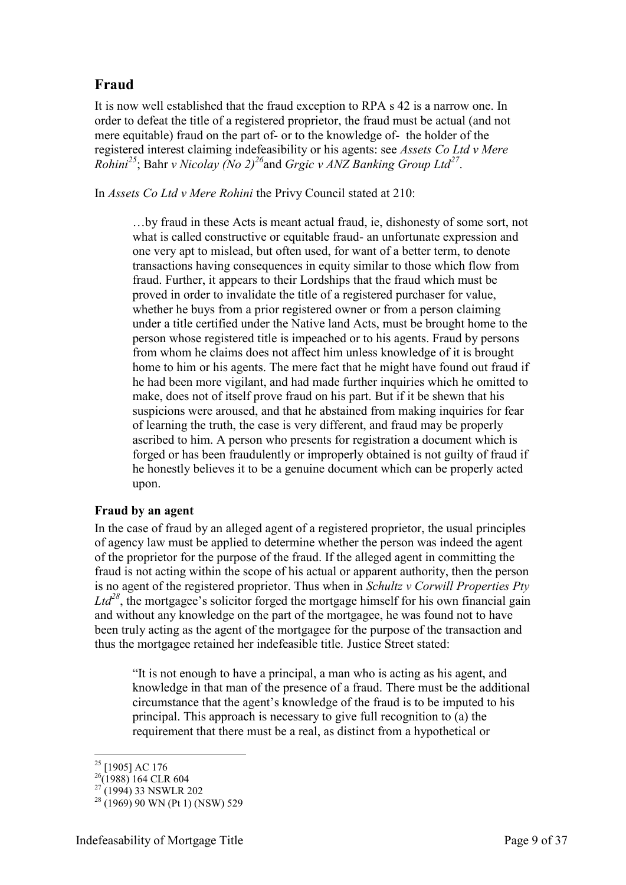## <span id="page-8-0"></span>**Fraud**

It is now well established that the fraud exception to RPA s 42 is a narrow one. In order to defeat the title of a registered proprietor, the fraud must be actual (and not mere equitable) fraud on the part of- or to the knowledge of- the holder of the registered interest claiming indefeasibility or his agents: see *Assets Co Ltd v Mere Rohini<sup>25</sup>*; Bahr *v Nicolay (No 2)<sup>26</sup>*and *Grgic v ANZ Banking Group Ltd<sup>27</sup>* .

In *Assets Co Ltd v Mere Rohini* the Privy Council stated at 210:

…by fraud in these Acts is meant actual fraud, ie, dishonesty of some sort, not what is called constructive or equitable fraud- an unfortunate expression and one very apt to mislead, but often used, for want of a better term, to denote transactions having consequences in equity similar to those which flow from fraud. Further, it appears to their Lordships that the fraud which must be proved in order to invalidate the title of a registered purchaser for value, whether he buys from a prior registered owner or from a person claiming under a title certified under the Native land Acts, must be brought home to the person whose registered title is impeached or to his agents. Fraud by persons from whom he claims does not affect him unless knowledge of it is brought home to him or his agents. The mere fact that he might have found out fraud if he had been more vigilant, and had made further inquiries which he omitted to make, does not of itself prove fraud on his part. But if it be shewn that his suspicions were aroused, and that he abstained from making inquiries for fear of learning the truth, the case is very different, and fraud may be properly ascribed to him. A person who presents for registration a document which is forged or has been fraudulently or improperly obtained is not guilty of fraud if he honestly believes it to be a genuine document which can be properly acted upon.

#### <span id="page-8-1"></span>**Fraud by an agent**

In the case of fraud by an alleged agent of a registered proprietor, the usual principles of agency law must be applied to determine whether the person was indeed the agent of the proprietor for the purpose of the fraud. If the alleged agent in committing the fraud is not acting within the scope of his actual or apparent authority, then the person is no agent of the registered proprietor. Thus when in *Schultz v Corwill Properties Pty*   $Ltd^{28}$ , the mortgagee's solicitor forged the mortgage himself for his own financial gain and without any knowledge on the part of the mortgagee, he was found not to have been truly acting as the agent of the mortgagee for the purpose of the transaction and thus the mortgagee retained her indefeasible title. Justice Street stated:

"It is not enough to have a principal, a man who is acting as his agent, and knowledge in that man of the presence of a fraud. There must be the additional circumstance that the agent's knowledge of the fraud is to be imputed to his principal. This approach is necessary to give full recognition to (a) the requirement that there must be a real, as distinct from a hypothetical or

-

 $25$  [1905] AC 176

 $^{26}$ (1988) 164 CLR 604

 $^{27}$ (1994) 33 NSWLR 202

 $^{28}$  (1969) 90 WN (Pt 1) (NSW) 529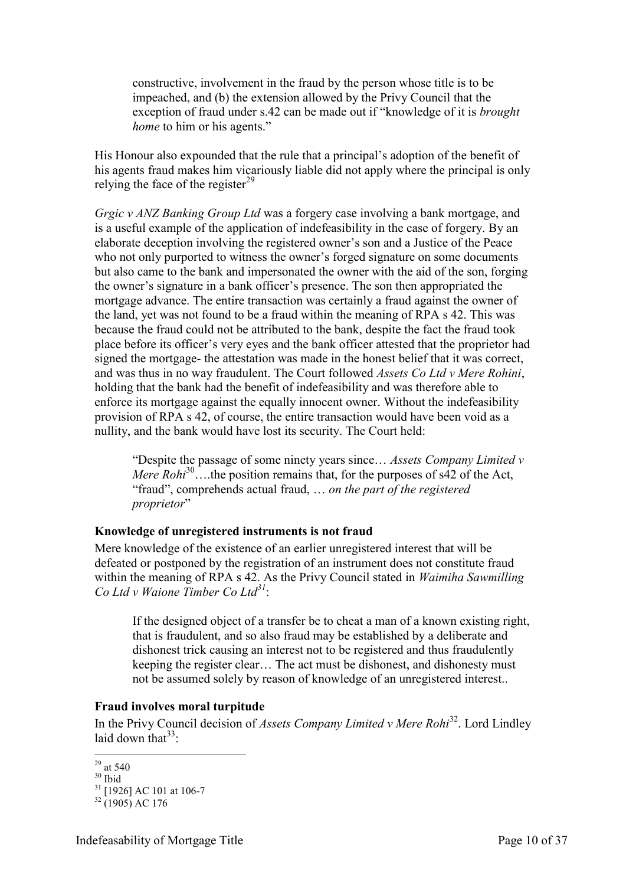constructive, involvement in the fraud by the person whose title is to be impeached, and (b) the extension allowed by the Privy Council that the exception of fraud under s.42 can be made out if "knowledge of it is *brought home* to him or his agents."

His Honour also expounded that the rule that a principal's adoption of the benefit of his agents fraud makes him vicariously liable did not apply where the principal is only relying the face of the register $^{29}$ 

*Grgic v ANZ Banking Group Ltd* was a forgery case involving a bank mortgage, and is a useful example of the application of indefeasibility in the case of forgery. By an elaborate deception involving the registered owner's son and a Justice of the Peace who not only purported to witness the owner's forged signature on some documents but also came to the bank and impersonated the owner with the aid of the son, forging the owner's signature in a bank officer's presence. The son then appropriated the mortgage advance. The entire transaction was certainly a fraud against the owner of the land, yet was not found to be a fraud within the meaning of RPA s 42. This was because the fraud could not be attributed to the bank, despite the fact the fraud took place before its officer's very eyes and the bank officer attested that the proprietor had signed the mortgage- the attestation was made in the honest belief that it was correct, and was thus in no way fraudulent. The Court followed *Assets Co Ltd v Mere Rohini*, holding that the bank had the benefit of indefeasibility and was therefore able to enforce its mortgage against the equally innocent owner. Without the indefeasibility provision of RPA s 42, of course, the entire transaction would have been void as a nullity, and the bank would have lost its security. The Court held:

"Despite the passage of some ninety years since… *Assets Company Limited v Mere Rohi*<sup>30</sup>...the position remains that, for the purposes of s42 of the Act, "fraud", comprehends actual fraud, … *on the part of the registered proprietor*"

#### <span id="page-9-0"></span>**Knowledge of unregistered instruments is not fraud**

Mere knowledge of the existence of an earlier unregistered interest that will be defeated or postponed by the registration of an instrument does not constitute fraud within the meaning of RPA s 42. As the Privy Council stated in *Waimiha Sawmilling Co Ltd v Waione Timber Co Ltd<sup>31</sup>*:

If the designed object of a transfer be to cheat a man of a known existing right, that is fraudulent, and so also fraud may be established by a deliberate and dishonest trick causing an interest not to be registered and thus fraudulently keeping the register clear… The act must be dishonest, and dishonesty must not be assumed solely by reason of knowledge of an unregistered interest..

#### <span id="page-9-1"></span>**Fraud involves moral turpitude**

In the Privy Council decision of *Assets Company Limited v Mere Rohi*<sup>32</sup>. Lord Lindley laid down that  $33$ .

<sup>-</sup> $^{29}$  at 540

 $30$  Ibid

 $31$  [1926] AC 101 at 106-7

 $32(1905)$  AC 176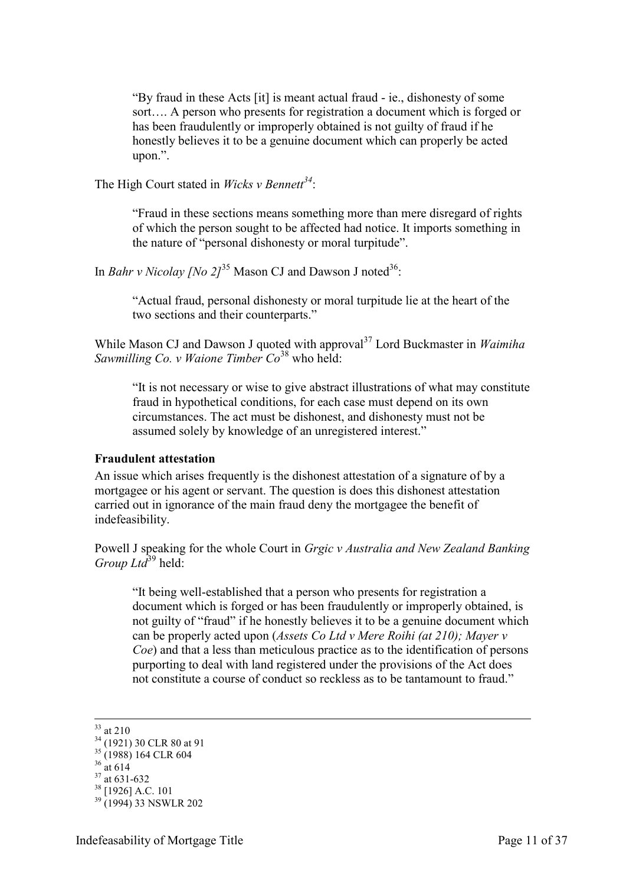"By fraud in these Acts [it] is meant actual fraud - ie., dishonesty of some sort…. A person who presents for registration a document which is forged or has been fraudulently or improperly obtained is not guilty of fraud if he honestly believes it to be a genuine document which can properly be acted upon.".

The High Court stated in *Wicks v Bennett<sup>34</sup>*:

"Fraud in these sections means something more than mere disregard of rights of which the person sought to be affected had notice. It imports something in the nature of "personal dishonesty or moral turpitude".

In *Bahr v Nicolay [No 2]*<sup>35</sup> Mason CJ and Dawson J noted<sup>36</sup>:

"Actual fraud, personal dishonesty or moral turpitude lie at the heart of the two sections and their counterparts."

While Mason CJ and Dawson J quoted with approval<sup>37</sup> Lord Buckmaster in *Waimiha Sawmilling Co. v Waione Timber Co*<sup>38</sup> who held:

"It is not necessary or wise to give abstract illustrations of what may constitute fraud in hypothetical conditions, for each case must depend on its own circumstances. The act must be dishonest, and dishonesty must not be assumed solely by knowledge of an unregistered interest."

#### <span id="page-10-0"></span>**Fraudulent attestation**

An issue which arises frequently is the dishonest attestation of a signature of by a mortgagee or his agent or servant. The question is does this dishonest attestation carried out in ignorance of the main fraud deny the mortgagee the benefit of indefeasibility.

Powell J speaking for the whole Court in *Grgic v Australia and New Zealand Banking Group Ltd*<sup>39</sup> held:

"It being well-established that a person who presents for registration a document which is forged or has been fraudulently or improperly obtained, is not guilty of "fraud" if he honestly believes it to be a genuine document which can be properly acted upon (*Assets Co Ltd v Mere Roihi (at 210); Mayer v Coe*) and that a less than meticulous practice as to the identification of persons purporting to deal with land registered under the provisions of the Act does not constitute a course of conduct so reckless as to be tantamount to fraud."

<sup>&</sup>lt;u>.</u>  $33$  at 210

<sup>&</sup>lt;sup>34</sup> (1921) 30 CLR 80 at 91  $35 (1988) 164 \text{ CLR} 604$  $36 \text{ at } 614$  $37$  at 631-632  $38$  [1926] A.C. 101

<sup>&</sup>lt;sup>39</sup> (1994) 33 NSWLR 202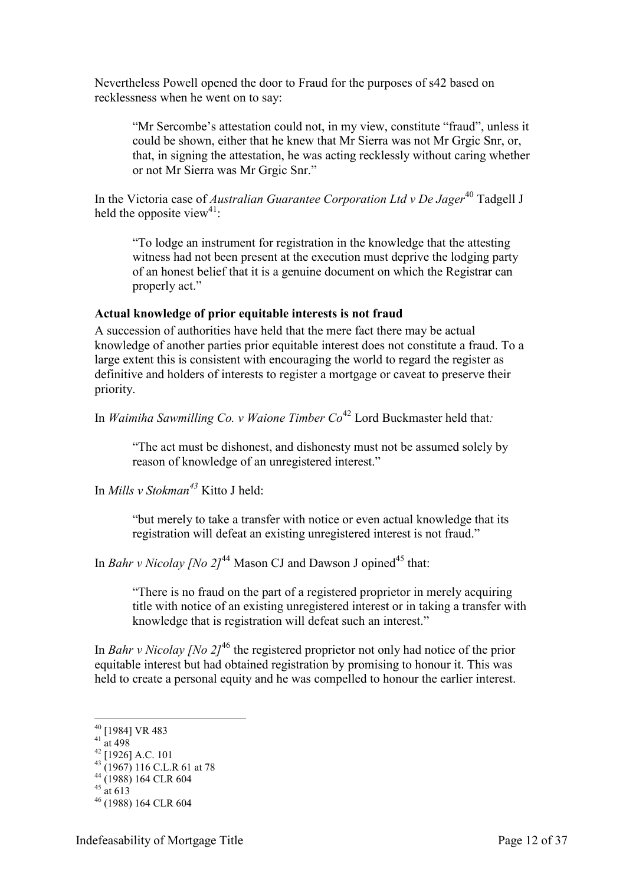Nevertheless Powell opened the door to Fraud for the purposes of s42 based on recklessness when he went on to say:

"Mr Sercombe's attestation could not, in my view, constitute "fraud", unless it could be shown, either that he knew that Mr Sierra was not Mr Grgic Snr, or, that, in signing the attestation, he was acting recklessly without caring whether or not Mr Sierra was Mr Grgic Snr."

In the Victoria case of *Australian Guarantee Corporation Ltd v De Jager*<sup>40</sup> Tadgell J held the opposite view<sup>41</sup>:

"To lodge an instrument for registration in the knowledge that the attesting witness had not been present at the execution must deprive the lodging party of an honest belief that it is a genuine document on which the Registrar can properly act."

#### <span id="page-11-0"></span>**Actual knowledge of prior equitable interests is not fraud**

A succession of authorities have held that the mere fact there may be actual knowledge of another parties prior equitable interest does not constitute a fraud. To a large extent this is consistent with encouraging the world to regard the register as definitive and holders of interests to register a mortgage or caveat to preserve their priority.

In *Waimiha Sawmilling Co. v Waione Timber Co*<sup>42</sup> Lord Buckmaster held that:

"The act must be dishonest, and dishonesty must not be assumed solely by reason of knowledge of an unregistered interest."

In *Mills v Stokman<sup>43</sup>* Kitto J held:

"but merely to take a transfer with notice or even actual knowledge that its registration will defeat an existing unregistered interest is not fraud."

In *Bahr v Nicolay [No 2]*<sup>44</sup> Mason CJ and Dawson J opined<sup>45</sup> that:

"There is no fraud on the part of a registered proprietor in merely acquiring title with notice of an existing unregistered interest or in taking a transfer with knowledge that is registration will defeat such an interest."

In *Bahr v Nicolay [No 2]*<sup>46</sup> the registered proprietor not only had notice of the prior equitable interest but had obtained registration by promising to honour it. This was held to create a personal equity and he was compelled to honour the earlier interest.

<u>.</u>

<sup>&</sup>lt;sup>40</sup> [1984] VR 483

 $41 \frac{11}{2}$  at 498

 $^{42}$  [1926] A.C. 101

 $^{43}$  (1967) 116 C.L.R 61 at 78 <sup>44</sup> (1988) 164 CLR 604

 $45$  at 613

<sup>46</sup> (1988) 164 CLR 604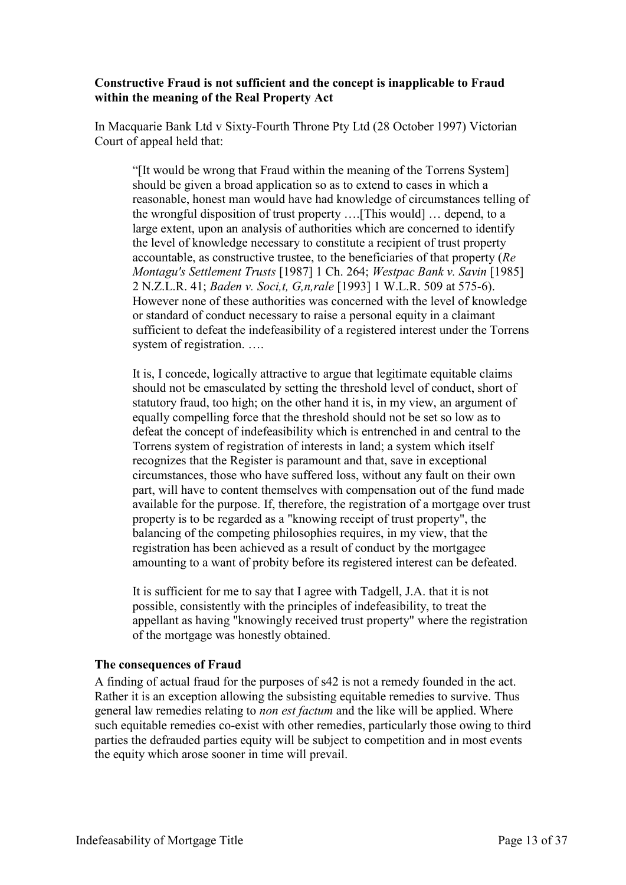#### <span id="page-12-0"></span>**Constructive Fraud is not sufficient and the concept is inapplicable to Fraud within the meaning of the Real Property Act**

In Macquarie Bank Ltd v Sixty-Fourth Throne Pty Ltd (28 October 1997) Victorian Court of appeal held that:

"[It would be wrong that Fraud within the meaning of the Torrens System] should be given a broad application so as to extend to cases in which a reasonable, honest man would have had knowledge of circumstances telling of the wrongful disposition of trust property ….[This would] … depend, to a large extent, upon an analysis of authorities which are concerned to identify the level of knowledge necessary to constitute a recipient of trust property accountable, as constructive trustee, to the beneficiaries of that property (*Re Montagu's Settlement Trusts* [1987] 1 Ch. 264; *Westpac Bank v. Savin* [1985] 2 N.Z.L.R. 41; *Baden v. Soci,t, G,n,rale* [1993] 1 W.L.R. 509 at 575-6). However none of these authorities was concerned with the level of knowledge or standard of conduct necessary to raise a personal equity in a claimant sufficient to defeat the indefeasibility of a registered interest under the Torrens system of registration. ….

It is, I concede, logically attractive to argue that legitimate equitable claims should not be emasculated by setting the threshold level of conduct, short of statutory fraud, too high; on the other hand it is, in my view, an argument of equally compelling force that the threshold should not be set so low as to defeat the concept of indefeasibility which is entrenched in and central to the Torrens system of registration of interests in land; a system which itself recognizes that the Register is paramount and that, save in exceptional circumstances, those who have suffered loss, without any fault on their own part, will have to content themselves with compensation out of the fund made available for the purpose. If, therefore, the registration of a mortgage over trust property is to be regarded as a "knowing receipt of trust property", the balancing of the competing philosophies requires, in my view, that the registration has been achieved as a result of conduct by the mortgagee amounting to a want of probity before its registered interest can be defeated.

It is sufficient for me to say that I agree with Tadgell, J.A. that it is not possible, consistently with the principles of indefeasibility, to treat the appellant as having "knowingly received trust property" where the registration of the mortgage was honestly obtained.

#### <span id="page-12-1"></span>**The consequences of Fraud**

A finding of actual fraud for the purposes of s42 is not a remedy founded in the act. Rather it is an exception allowing the subsisting equitable remedies to survive. Thus general law remedies relating to *non est factum* and the like will be applied. Where such equitable remedies co-exist with other remedies, particularly those owing to third parties the defrauded parties equity will be subject to competition and in most events the equity which arose sooner in time will prevail.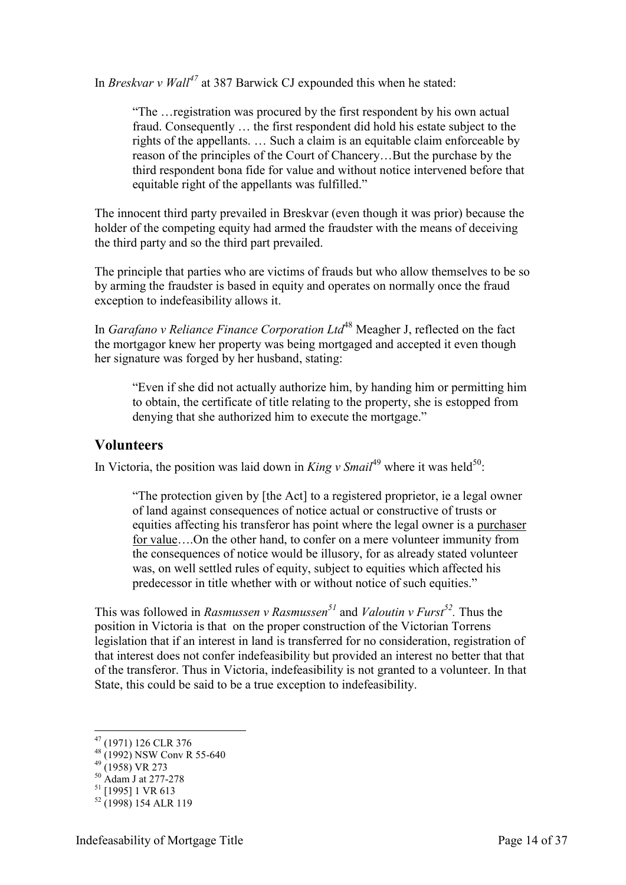In *Breskvar v Wall<sup>47</sup>* at 387 Barwick CJ expounded this when he stated:

"The …registration was procured by the first respondent by his own actual fraud. Consequently … the first respondent did hold his estate subject to the rights of the appellants. … Such a claim is an equitable claim enforceable by reason of the principles of the Court of Chancery…But the purchase by the third respondent bona fide for value and without notice intervened before that equitable right of the appellants was fulfilled."

The innocent third party prevailed in Breskvar (even though it was prior) because the holder of the competing equity had armed the fraudster with the means of deceiving the third party and so the third part prevailed.

The principle that parties who are victims of frauds but who allow themselves to be so by arming the fraudster is based in equity and operates on normally once the fraud exception to indefeasibility allows it.

In *Garafano v Reliance Finance Corporation Ltd*<sup>48</sup> Meagher J, reflected on the fact the mortgagor knew her property was being mortgaged and accepted it even though her signature was forged by her husband, stating:

"Even if she did not actually authorize him, by handing him or permitting him to obtain, the certificate of title relating to the property, she is estopped from denying that she authorized him to execute the mortgage."

#### <span id="page-13-0"></span>**Volunteers**

In Victoria, the position was laid down in *King v Smail*<sup>49</sup> where it was held<sup>50</sup>:

"The protection given by [the Act] to a registered proprietor, ie a legal owner of land against consequences of notice actual or constructive of trusts or equities affecting his transferor has point where the legal owner is a purchaser for value….On the other hand, to confer on a mere volunteer immunity from the consequences of notice would be illusory, for as already stated volunteer was, on well settled rules of equity, subject to equities which affected his predecessor in title whether with or without notice of such equities."

This was followed in *Rasmussen v Rasmussen<sup>51</sup>* and *Valoutin v Furst<sup>52</sup> .* Thus the position in Victoria is that on the proper construction of the Victorian Torrens legislation that if an interest in land is transferred for no consideration, registration of that interest does not confer indefeasibility but provided an interest no better that that of the transferor. Thus in Victoria, indefeasibility is not granted to a volunteer. In that State, this could be said to be a true exception to indefeasibility.

<u>.</u>

<sup>&</sup>lt;sup>47</sup> (1971) 126 CLR 376  $^{48}$  (1992) NSW Conv R 55-640

 $^{49}$  (1958) VR 273

<sup>50</sup> Adam J at 277-278

<sup>&</sup>lt;sup>51</sup> [1995] 1 VR 613

 $52 (1998) 154 ALR 119$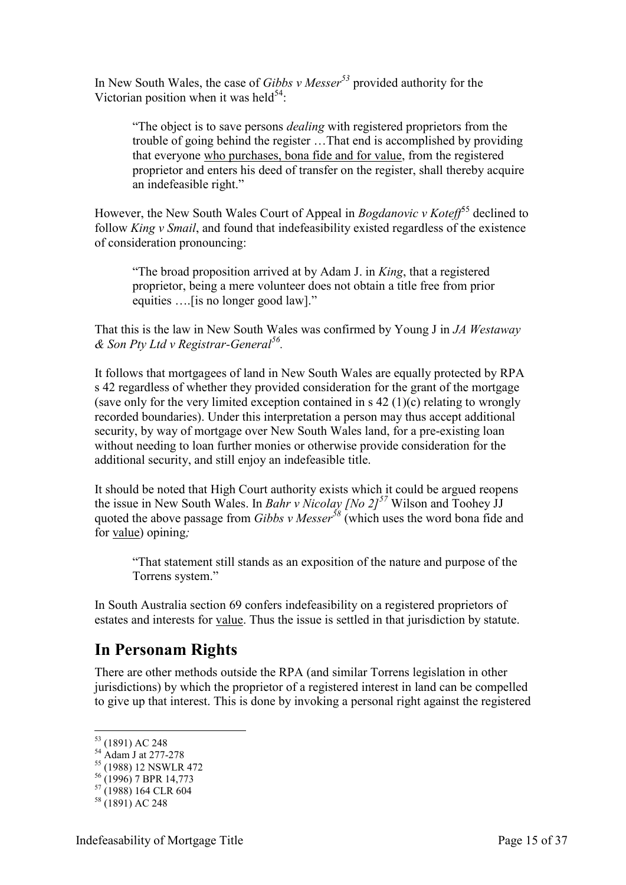In New South Wales, the case of *Gibbs v Messer<sup>53</sup>* provided authority for the Victorian position when it was held<sup>54</sup>:

"The object is to save persons *dealing* with registered proprietors from the trouble of going behind the register …That end is accomplished by providing that everyone who purchases, bona fide and for value, from the registered proprietor and enters his deed of transfer on the register, shall thereby acquire an indefeasible right."

However, the New South Wales Court of Appeal in *Bogdanovic v Koteff*<sup>55</sup> declined to follow *King v Smail*, and found that indefeasibility existed regardless of the existence of consideration pronouncing:

"The broad proposition arrived at by Adam J. in *King*, that a registered proprietor, being a mere volunteer does not obtain a title free from prior equities ….[is no longer good law]."

That this is the law in New South Wales was confirmed by Young J in *JA Westaway & Son Pty Ltd v Registrar-General<sup>56</sup> .*

It follows that mortgagees of land in New South Wales are equally protected by RPA s 42 regardless of whether they provided consideration for the grant of the mortgage (save only for the very limited exception contained in s 42 (1)(c) relating to wrongly recorded boundaries). Under this interpretation a person may thus accept additional security, by way of mortgage over New South Wales land, for a pre-existing loan without needing to loan further monies or otherwise provide consideration for the additional security, and still enjoy an indefeasible title.

It should be noted that High Court authority exists which it could be argued reopens the issue in New South Wales. In *Bahr v Nicolay [No 2]<sup>57</sup>* Wilson and Toohey JJ quoted the above passage from *Gibbs v Messer<sup>58</sup>* (which uses the word bona fide and for value) opining*;* 

"That statement still stands as an exposition of the nature and purpose of the Torrens system."

In South Australia section 69 confers indefeasibility on a registered proprietors of estates and interests for value. Thus the issue is settled in that jurisdiction by statute.

## <span id="page-14-0"></span>**In Personam Rights**

There are other methods outside the RPA (and similar Torrens legislation in other jurisdictions) by which the proprietor of a registered interest in land can be compelled to give up that interest. This is done by invoking a personal right against the registered

<u>.</u>

<sup>53</sup> (1891) AC 248

 $^{54}$  Adam J at 277-278

<sup>55</sup> (1988) 12 NSWLR 472

 $56(1996)$  7 BPR 14,773

<sup>57</sup> (1988) 164 CLR 604

 $58(1891)$  AC 248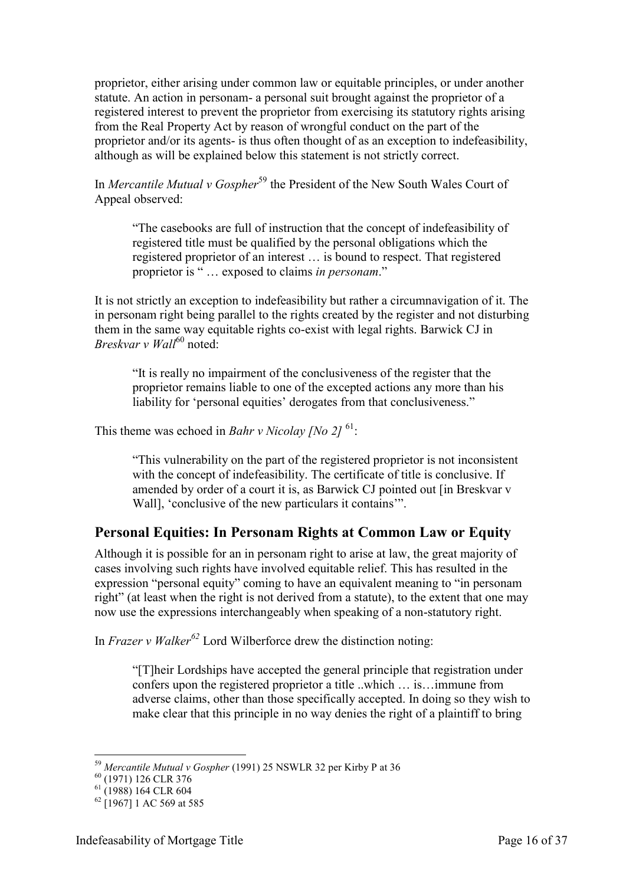proprietor, either arising under common law or equitable principles, or under another statute. An action in personam- a personal suit brought against the proprietor of a registered interest to prevent the proprietor from exercising its statutory rights arising from the Real Property Act by reason of wrongful conduct on the part of the proprietor and/or its agents- is thus often thought of as an exception to indefeasibility, although as will be explained below this statement is not strictly correct.

In *Mercantile Mutual v Gospher*<sup>59</sup> the President of the New South Wales Court of Appeal observed:

"The casebooks are full of instruction that the concept of indefeasibility of registered title must be qualified by the personal obligations which the registered proprietor of an interest … is bound to respect. That registered proprietor is " … exposed to claims *in personam*."

It is not strictly an exception to indefeasibility but rather a circumnavigation of it. The in personam right being parallel to the rights created by the register and not disturbing them in the same way equitable rights co-exist with legal rights. Barwick CJ in *Breskvar v Wall*<sup>60</sup> noted:

"It is really no impairment of the conclusiveness of the register that the proprietor remains liable to one of the excepted actions any more than his liability for 'personal equities' derogates from that conclusiveness."

This theme was echoed in *Bahr v Nicolay [No 2]*<sup>61</sup>:

"This vulnerability on the part of the registered proprietor is not inconsistent with the concept of indefeasibility. The certificate of title is conclusive. If amended by order of a court it is, as Barwick CJ pointed out [in Breskvar v Wall], 'conclusive of the new particulars it contains'".

## <span id="page-15-0"></span>**Personal Equities: In Personam Rights at Common Law or Equity**

Although it is possible for an in personam right to arise at law, the great majority of cases involving such rights have involved equitable relief. This has resulted in the expression "personal equity" coming to have an equivalent meaning to "in personam right" (at least when the right is not derived from a statute), to the extent that one may now use the expressions interchangeably when speaking of a non-statutory right.

In *Frazer v Walker<sup>62</sup>* Lord Wilberforce drew the distinction noting:

"[T]heir Lordships have accepted the general principle that registration under confers upon the registered proprietor a title ..which … is…immune from adverse claims, other than those specifically accepted. In doing so they wish to make clear that this principle in no way denies the right of a plaintiff to bring

-

<sup>59</sup> *Mercantile Mutual v Gospher* (1991) 25 NSWLR 32 per Kirby P at 36

<sup>&</sup>lt;sup>60</sup> (1971) 126 CLR 376

<sup>61</sup> (1988) 164 CLR 604

 $62$  [1967] 1 AC 569 at 585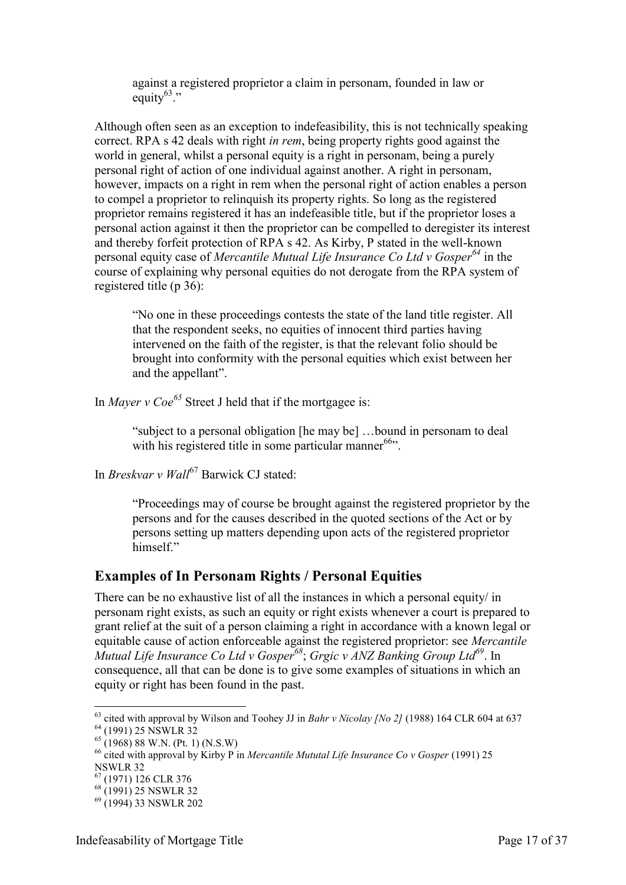against a registered proprietor a claim in personam, founded in law or equity $63$ ."

Although often seen as an exception to indefeasibility, this is not technically speaking correct. RPA s 42 deals with right *in rem*, being property rights good against the world in general, whilst a personal equity is a right in personam, being a purely personal right of action of one individual against another. A right in personam, however, impacts on a right in rem when the personal right of action enables a person to compel a proprietor to relinquish its property rights. So long as the registered proprietor remains registered it has an indefeasible title, but if the proprietor loses a personal action against it then the proprietor can be compelled to deregister its interest and thereby forfeit protection of RPA s 42. As Kirby, P stated in the well-known personal equity case of *Mercantile Mutual Life Insurance Co Ltd v Gosper<sup>64</sup>* in the course of explaining why personal equities do not derogate from the RPA system of registered title (p 36):

"No one in these proceedings contests the state of the land title register. All that the respondent seeks, no equities of innocent third parties having intervened on the faith of the register, is that the relevant folio should be brought into conformity with the personal equities which exist between her and the appellant".

In *Mayer v Coe<sup>65</sup>* Street J held that if the mortgagee is:

"subject to a personal obligation [he may be] …bound in personam to deal with his registered title in some particular manner<sup>66</sup>".

In *Breskvar v Wall*<sup>67</sup> Barwick CJ stated:

"Proceedings may of course be brought against the registered proprietor by the persons and for the causes described in the quoted sections of the Act or by persons setting up matters depending upon acts of the registered proprietor himself."

#### <span id="page-16-0"></span>**Examples of In Personam Rights / Personal Equities**

There can be no exhaustive list of all the instances in which a personal equity in personam right exists, as such an equity or right exists whenever a court is prepared to grant relief at the suit of a person claiming a right in accordance with a known legal or equitable cause of action enforceable against the registered proprietor: see *Mercantile Mutual Life Insurance Co Ltd v Gosper<sup>68</sup>*; *Grgic v ANZ Banking Group Ltd<sup>69</sup>*. In consequence, all that can be done is to give some examples of situations in which an equity or right has been found in the past.

<sup>-</sup><sup>63</sup> cited with approval by Wilson and Toohey JJ in *Bahr v Nicolay [No 2]* (1988) 164 CLR 604 at 637 <sup>64</sup> (1991) 25 NSWLR 32

 $65$  (1968) 88 W.N. (Pt. 1) (N.S.W)

<sup>&</sup>lt;sup>66</sup> cited with approval by Kirby P in *Mercantile Mututal Life Insurance Co v Gosper* (1991) 25 NSWLR 32

 $(1971)$  126 CLR 376

<sup>68</sup> (1991) 25 NSWLR 32

<sup>69</sup> (1994) 33 NSWLR 202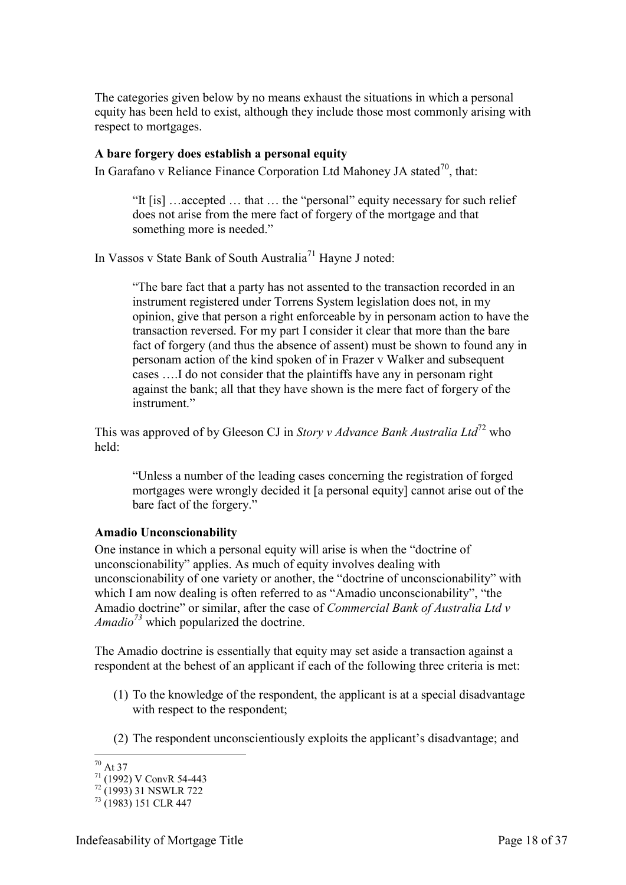The categories given below by no means exhaust the situations in which a personal equity has been held to exist, although they include those most commonly arising with respect to mortgages.

#### <span id="page-17-0"></span>**A bare forgery does establish a personal equity**

In Garafano v Reliance Finance Corporation Ltd Mahoney JA stated<sup>70</sup>, that:

"It [is] …accepted … that … the "personal" equity necessary for such relief does not arise from the mere fact of forgery of the mortgage and that something more is needed."

In Vassos v State Bank of South Australia<sup>71</sup> Hayne J noted:

"The bare fact that a party has not assented to the transaction recorded in an instrument registered under Torrens System legislation does not, in my opinion, give that person a right enforceable by in personam action to have the transaction reversed. For my part I consider it clear that more than the bare fact of forgery (and thus the absence of assent) must be shown to found any in personam action of the kind spoken of in Frazer v Walker and subsequent cases ….I do not consider that the plaintiffs have any in personam right against the bank; all that they have shown is the mere fact of forgery of the instrument."

This was approved of by Gleeson CJ in *Story v Advance Bank Australia Ltd*<sup>72</sup> who held:

"Unless a number of the leading cases concerning the registration of forged mortgages were wrongly decided it [a personal equity] cannot arise out of the bare fact of the forgery."

#### <span id="page-17-1"></span>**Amadio Unconscionability**

One instance in which a personal equity will arise is when the "doctrine of unconscionability" applies. As much of equity involves dealing with unconscionability of one variety or another, the "doctrine of unconscionability" with which I am now dealing is often referred to as "Amadio unconscionability", "the Amadio doctrine" or similar, after the case of *Commercial Bank of Australia Ltd v Amadio<sup>73</sup>* which popularized the doctrine.

The Amadio doctrine is essentially that equity may set aside a transaction against a respondent at the behest of an applicant if each of the following three criteria is met:

- (1) To the knowledge of the respondent, the applicant is at a special disadvantage with respect to the respondent:
- (2) The respondent unconscientiously exploits the applicant's disadvantage; and

<sup>-</sup> $70$  At 37

 $\frac{71}{(1992)}$  V ConvR 54-443

 $72 (1993)$  31 NSWLR 722

<sup>73</sup> (1983) 151 CLR 447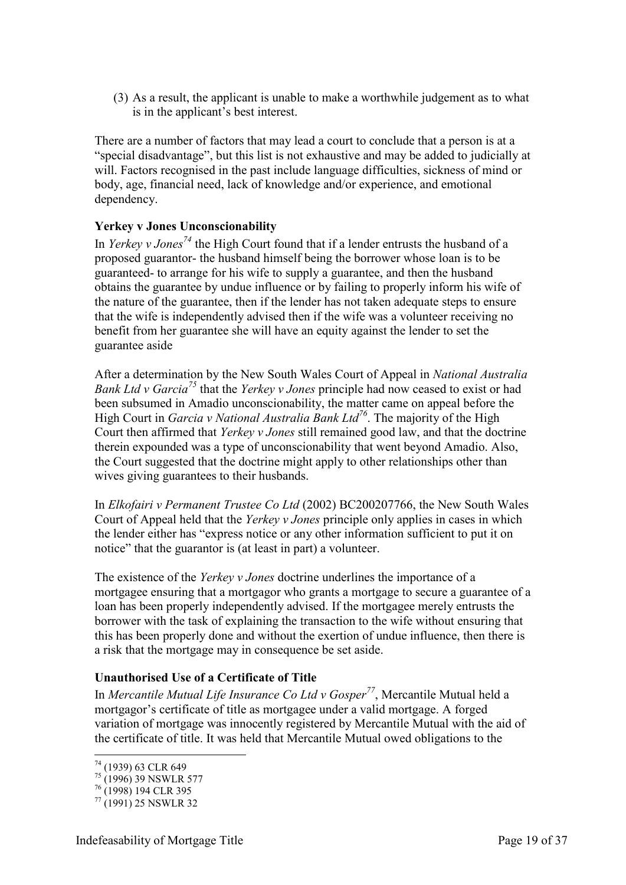(3) As a result, the applicant is unable to make a worthwhile judgement as to what is in the applicant's best interest.

There are a number of factors that may lead a court to conclude that a person is at a "special disadvantage", but this list is not exhaustive and may be added to judicially at will. Factors recognised in the past include language difficulties, sickness of mind or body, age, financial need, lack of knowledge and/or experience, and emotional dependency.

#### <span id="page-18-0"></span>**Yerkey v Jones Unconscionability**

In *Yerkey v Jones<sup>74</sup>* the High Court found that if a lender entrusts the husband of a proposed guarantor- the husband himself being the borrower whose loan is to be guaranteed- to arrange for his wife to supply a guarantee, and then the husband obtains the guarantee by undue influence or by failing to properly inform his wife of the nature of the guarantee, then if the lender has not taken adequate steps to ensure that the wife is independently advised then if the wife was a volunteer receiving no benefit from her guarantee she will have an equity against the lender to set the guarantee aside

After a determination by the New South Wales Court of Appeal in *National Australia Bank Ltd v Garcia<sup>75</sup>* that the *Yerkey v Jones* principle had now ceased to exist or had been subsumed in Amadio unconscionability, the matter came on appeal before the High Court in *Garcia v National Australia Bank Ltd<sup>76</sup>*. The majority of the High Court then affirmed that *Yerkey v Jones* still remained good law, and that the doctrine therein expounded was a type of unconscionability that went beyond Amadio. Also, the Court suggested that the doctrine might apply to other relationships other than wives giving guarantees to their husbands.

In *Elkofairi v Permanent Trustee Co Ltd* (2002) BC200207766, the New South Wales Court of Appeal held that the *Yerkey v Jones* principle only applies in cases in which the lender either has "express notice or any other information sufficient to put it on notice" that the guarantor is (at least in part) a volunteer.

The existence of the *Yerkey v Jones* doctrine underlines the importance of a mortgagee ensuring that a mortgagor who grants a mortgage to secure a guarantee of a loan has been properly independently advised. If the mortgagee merely entrusts the borrower with the task of explaining the transaction to the wife without ensuring that this has been properly done and without the exertion of undue influence, then there is a risk that the mortgage may in consequence be set aside.

#### <span id="page-18-1"></span>**Unauthorised Use of a Certificate of Title**

In *Mercantile Mutual Life Insurance Co Ltd v Gosper<sup>77</sup>*, Mercantile Mutual held a mortgagor's certificate of title as mortgagee under a valid mortgage. A forged variation of mortgage was innocently registered by Mercantile Mutual with the aid of the certificate of title. It was held that Mercantile Mutual owed obligations to the

-

<sup>&</sup>lt;sup>74</sup> (1939) 63 CLR 649

 $^{75}$  (1996) 39 NSWLR 577

<sup>&</sup>lt;sup>76</sup> (1998) 194 CLR 395

 $^{77}$  (1991) 25 NSWLR 32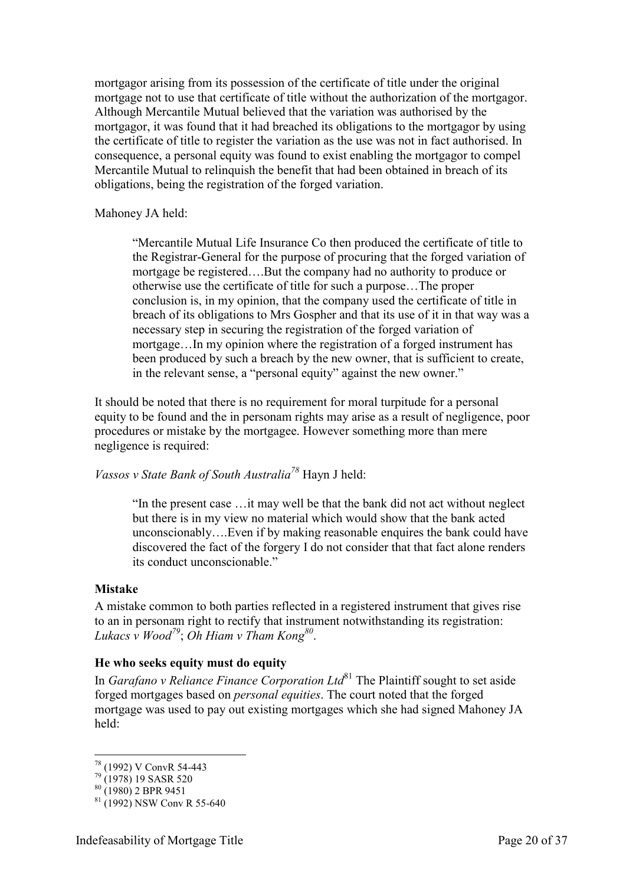mortgagor arising from its possession of the certificate of title under the original mortgage not to use that certificate of title without the authorization of the mortgagor. Although Mercantile Mutual believed that the variation was authorised by the mortgagor, it was found that it had breached its obligations to the mortgagor by using the certificate of title to register the variation as the use was not in fact authorised. In consequence, a personal equity was found to exist enabling the mortgagor to compel Mercantile Mutual to relinquish the benefit that had been obtained in breach of its obligations, being the registration of the forged variation.

Mahoney JA held:

"Mercantile Mutual Life Insurance Co then produced the certificate of title to the Registrar-General for the purpose of procuring that the forged variation of mortgage be registered….But the company had no authority to produce or otherwise use the certificate of title for such a purpose…The proper conclusion is, in my opinion, that the company used the certificate of title in breach of its obligations to Mrs Gospher and that its use of it in that way was a necessary step in securing the registration of the forged variation of mortgage…In my opinion where the registration of a forged instrument has been produced by such a breach by the new owner, that is sufficient to create, in the relevant sense, a "personal equity" against the new owner."

It should be noted that there is no requirement for moral turpitude for a personal equity to be found and the in personam rights may arise as a result of negligence, poor procedures or mistake by the mortgagee. However something more than mere negligence is required:

*Vassos v State Bank of South Australia<sup>78</sup>* Hayn J held:

"In the present case …it may well be that the bank did not act without neglect but there is in my view no material which would show that the bank acted unconscionably….Even if by making reasonable enquires the bank could have discovered the fact of the forgery I do not consider that that fact alone renders its conduct unconscionable."

#### <span id="page-19-0"></span>**Mistake**

A mistake common to both parties reflected in a registered instrument that gives rise to an in personam right to rectify that instrument notwithstanding its registration: *Lukacs v Wood<sup>79</sup>*; *Oh Hiam v Tham Kong<sup>80</sup>* .

#### <span id="page-19-1"></span>**He who seeks equity must do equity**

In *Garafano v Reliance Finance Corporation Ltd*<sup>81</sup> The Plaintiff sought to set aside forged mortgages based on *personal equities*. The court noted that the forged mortgage was used to pay out existing mortgages which she had signed Mahoney JA held:

-

<sup>78</sup> (1992) V ConvR 54-443

<sup>79</sup> (1978) 19 SASR 520

 $80^{(13/6)}$  (1980) 2 BPR 9451

 $81$  (1992) NSW Conv R 55-640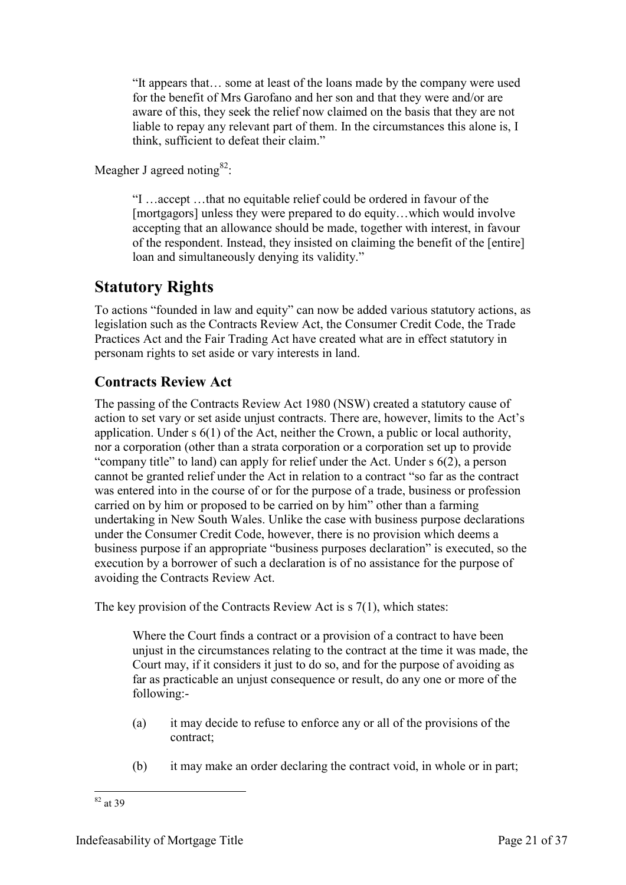"It appears that… some at least of the loans made by the company were used for the benefit of Mrs Garofano and her son and that they were and/or are aware of this, they seek the relief now claimed on the basis that they are not liable to repay any relevant part of them. In the circumstances this alone is, I think, sufficient to defeat their claim."

Meagher J agreed noting  $82$ :

"I …accept …that no equitable relief could be ordered in favour of the [mortgagors] unless they were prepared to do equity…which would involve accepting that an allowance should be made, together with interest, in favour of the respondent. Instead, they insisted on claiming the benefit of the [entire] loan and simultaneously denying its validity."

# <span id="page-20-0"></span>**Statutory Rights**

To actions "founded in law and equity" can now be added various statutory actions, as legislation such as the Contracts Review Act, the Consumer Credit Code, the Trade Practices Act and the Fair Trading Act have created what are in effect statutory in personam rights to set aside or vary interests in land.

## <span id="page-20-1"></span>**Contracts Review Act**

The passing of the Contracts Review Act 1980 (NSW) created a statutory cause of action to set vary or set aside unjust contracts. There are, however, limits to the Act's application. Under s 6(1) of the Act, neither the Crown, a public or local authority, nor a corporation (other than a strata corporation or a corporation set up to provide "company title" to land) can apply for relief under the Act. Under s 6(2), a person cannot be granted relief under the Act in relation to a contract "so far as the contract was entered into in the course of or for the purpose of a trade, business or profession carried on by him or proposed to be carried on by him" other than a farming undertaking in New South Wales. Unlike the case with business purpose declarations under the Consumer Credit Code, however, there is no provision which deems a business purpose if an appropriate "business purposes declaration" is executed, so the execution by a borrower of such a declaration is of no assistance for the purpose of avoiding the Contracts Review Act.

The key provision of the Contracts Review Act is s 7(1), which states:

Where the Court finds a contract or a provision of a contract to have been unjust in the circumstances relating to the contract at the time it was made, the Court may, if it considers it just to do so, and for the purpose of avoiding as far as practicable an unjust consequence or result, do any one or more of the following:-

- (a) it may decide to refuse to enforce any or all of the provisions of the contract;
- (b) it may make an order declaring the contract void, in whole or in part;

<sup>-</sup> $82$  at 39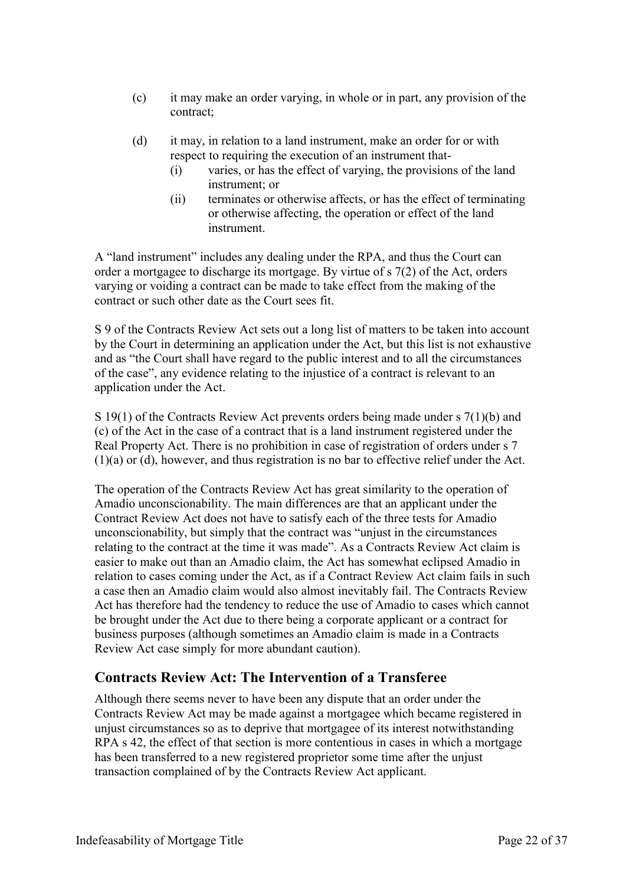- (c) it may make an order varying, in whole or in part, any provision of the contract;
- (d) it may, in relation to a land instrument, make an order for or with respect to requiring the execution of an instrument that-
	- (i) varies, or has the effect of varying, the provisions of the land instrument; or
	- (ii) terminates or otherwise affects, or has the effect of terminating or otherwise affecting, the operation or effect of the land instrument.

A "land instrument" includes any dealing under the RPA, and thus the Court can order a mortgagee to discharge its mortgage. By virtue of s 7(2) of the Act, orders varying or voiding a contract can be made to take effect from the making of the contract or such other date as the Court sees fit.

S 9 of the Contracts Review Act sets out a long list of matters to be taken into account by the Court in determining an application under the Act, but this list is not exhaustive and as "the Court shall have regard to the public interest and to all the circumstances of the case", any evidence relating to the injustice of a contract is relevant to an application under the Act.

S 19(1) of the Contracts Review Act prevents orders being made under s 7(1)(b) and (c) of the Act in the case of a contract that is a land instrument registered under the Real Property Act. There is no prohibition in case of registration of orders under s 7 (1)(a) or (d), however, and thus registration is no bar to effective relief under the Act.

The operation of the Contracts Review Act has great similarity to the operation of Amadio unconscionability. The main differences are that an applicant under the Contract Review Act does not have to satisfy each of the three tests for Amadio unconscionability, but simply that the contract was "unjust in the circumstances relating to the contract at the time it was made". As a Contracts Review Act claim is easier to make out than an Amadio claim, the Act has somewhat eclipsed Amadio in relation to cases coming under the Act, as if a Contract Review Act claim fails in such a case then an Amadio claim would also almost inevitably fail. The Contracts Review Act has therefore had the tendency to reduce the use of Amadio to cases which cannot be brought under the Act due to there being a corporate applicant or a contract for business purposes (although sometimes an Amadio claim is made in a Contracts Review Act case simply for more abundant caution).

## <span id="page-21-0"></span>**Contracts Review Act: The Intervention of a Transferee**

Although there seems never to have been any dispute that an order under the Contracts Review Act may be made against a mortgagee which became registered in unjust circumstances so as to deprive that mortgagee of its interest notwithstanding RPA s 42, the effect of that section is more contentious in cases in which a mortgage has been transferred to a new registered proprietor some time after the unjust transaction complained of by the Contracts Review Act applicant.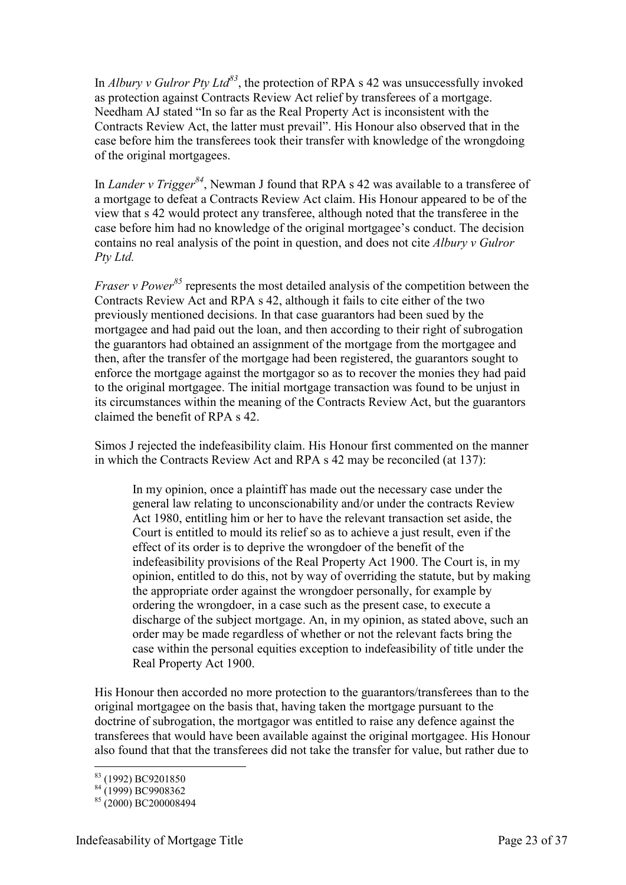In *Albury v Gulror Pty Ltd<sup>83</sup>*, the protection of RPA s 42 was unsuccessfully invoked as protection against Contracts Review Act relief by transferees of a mortgage. Needham AJ stated "In so far as the Real Property Act is inconsistent with the Contracts Review Act, the latter must prevail". His Honour also observed that in the case before him the transferees took their transfer with knowledge of the wrongdoing of the original mortgagees.

In *Lander v Trigger<sup>84</sup>*, Newman J found that RPA s 42 was available to a transferee of a mortgage to defeat a Contracts Review Act claim. His Honour appeared to be of the view that s 42 would protect any transferee, although noted that the transferee in the case before him had no knowledge of the original mortgagee's conduct. The decision contains no real analysis of the point in question, and does not cite *Albury v Gulror Pty Ltd.*

*Fraser v Power*<sup>85</sup> represents the most detailed analysis of the competition between the Contracts Review Act and RPA s 42, although it fails to cite either of the two previously mentioned decisions. In that case guarantors had been sued by the mortgagee and had paid out the loan, and then according to their right of subrogation the guarantors had obtained an assignment of the mortgage from the mortgagee and then, after the transfer of the mortgage had been registered, the guarantors sought to enforce the mortgage against the mortgagor so as to recover the monies they had paid to the original mortgagee. The initial mortgage transaction was found to be unjust in its circumstances within the meaning of the Contracts Review Act, but the guarantors claimed the benefit of RPA s 42.

Simos J rejected the indefeasibility claim. His Honour first commented on the manner in which the Contracts Review Act and RPA s 42 may be reconciled (at 137):

In my opinion, once a plaintiff has made out the necessary case under the general law relating to unconscionability and/or under the contracts Review Act 1980, entitling him or her to have the relevant transaction set aside, the Court is entitled to mould its relief so as to achieve a just result, even if the effect of its order is to deprive the wrongdoer of the benefit of the indefeasibility provisions of the Real Property Act 1900. The Court is, in my opinion, entitled to do this, not by way of overriding the statute, but by making the appropriate order against the wrongdoer personally, for example by ordering the wrongdoer, in a case such as the present case, to execute a discharge of the subject mortgage. An, in my opinion, as stated above, such an order may be made regardless of whether or not the relevant facts bring the case within the personal equities exception to indefeasibility of title under the Real Property Act 1900.

His Honour then accorded no more protection to the guarantors/transferees than to the original mortgagee on the basis that, having taken the mortgage pursuant to the doctrine of subrogation, the mortgagor was entitled to raise any defence against the transferees that would have been available against the original mortgagee. His Honour also found that that the transferees did not take the transfer for value, but rather due to

<sup>-</sup><sup>83</sup> (1992) BC9201850

 $84 (1999) BC9908362$ 

 $85(2000)$  BC200008494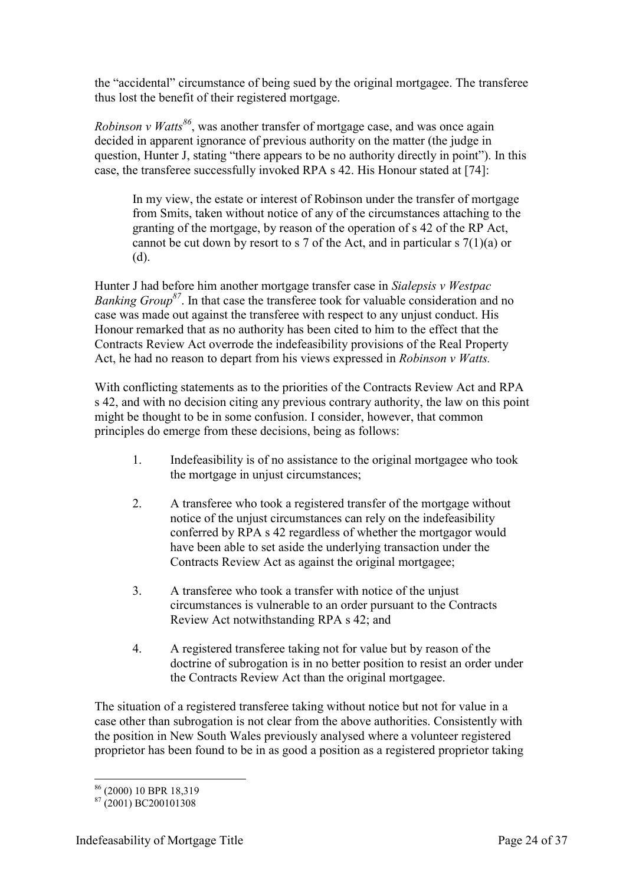the "accidental" circumstance of being sued by the original mortgagee. The transferee thus lost the benefit of their registered mortgage.

*Robinson v Watts<sup>86</sup>*, was another transfer of mortgage case, and was once again decided in apparent ignorance of previous authority on the matter (the judge in question, Hunter J, stating "there appears to be no authority directly in point"). In this case, the transferee successfully invoked RPA s 42. His Honour stated at [74]:

In my view, the estate or interest of Robinson under the transfer of mortgage from Smits, taken without notice of any of the circumstances attaching to the granting of the mortgage, by reason of the operation of s 42 of the RP Act, cannot be cut down by resort to s 7 of the Act, and in particular s  $7(1)(a)$  or (d).

Hunter J had before him another mortgage transfer case in *Sialepsis v Westpac Banking Group<sup>87</sup>*. In that case the transferee took for valuable consideration and no case was made out against the transferee with respect to any unjust conduct. His Honour remarked that as no authority has been cited to him to the effect that the Contracts Review Act overrode the indefeasibility provisions of the Real Property Act, he had no reason to depart from his views expressed in *Robinson v Watts.*

With conflicting statements as to the priorities of the Contracts Review Act and RPA s 42, and with no decision citing any previous contrary authority, the law on this point might be thought to be in some confusion. I consider, however, that common principles do emerge from these decisions, being as follows:

- 1. Indefeasibility is of no assistance to the original mortgagee who took the mortgage in unjust circumstances;
- 2. A transferee who took a registered transfer of the mortgage without notice of the unjust circumstances can rely on the indefeasibility conferred by RPA s 42 regardless of whether the mortgagor would have been able to set aside the underlying transaction under the Contracts Review Act as against the original mortgagee;
- 3. A transferee who took a transfer with notice of the unjust circumstances is vulnerable to an order pursuant to the Contracts Review Act notwithstanding RPA s 42; and
- 4. A registered transferee taking not for value but by reason of the doctrine of subrogation is in no better position to resist an order under the Contracts Review Act than the original mortgagee.

The situation of a registered transferee taking without notice but not for value in a case other than subrogation is not clear from the above authorities. Consistently with the position in New South Wales previously analysed where a volunteer registered proprietor has been found to be in as good a position as a registered proprietor taking

<sup>-</sup><sup>86</sup> (2000) 10 BPR 18,319

 $87(2001)$  BC200101308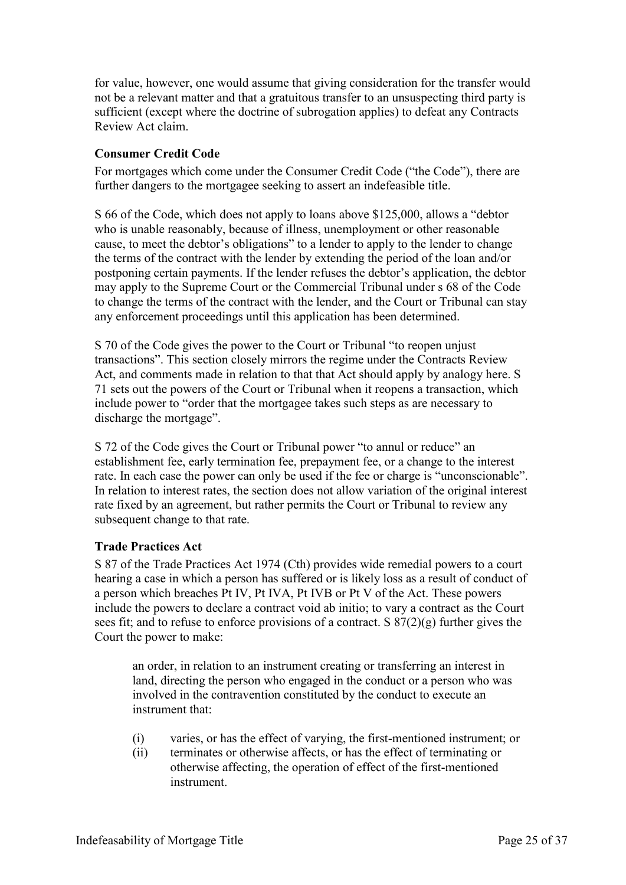for value, however, one would assume that giving consideration for the transfer would not be a relevant matter and that a gratuitous transfer to an unsuspecting third party is sufficient (except where the doctrine of subrogation applies) to defeat any Contracts Review Act claim.

#### <span id="page-24-0"></span>**Consumer Credit Code**

For mortgages which come under the Consumer Credit Code ("the Code"), there are further dangers to the mortgagee seeking to assert an indefeasible title.

S 66 of the Code, which does not apply to loans above \$125,000, allows a "debtor who is unable reasonably, because of illness, unemployment or other reasonable cause, to meet the debtor's obligations" to a lender to apply to the lender to change the terms of the contract with the lender by extending the period of the loan and/or postponing certain payments. If the lender refuses the debtor's application, the debtor may apply to the Supreme Court or the Commercial Tribunal under s 68 of the Code to change the terms of the contract with the lender, and the Court or Tribunal can stay any enforcement proceedings until this application has been determined.

S 70 of the Code gives the power to the Court or Tribunal "to reopen unjust transactions". This section closely mirrors the regime under the Contracts Review Act, and comments made in relation to that that Act should apply by analogy here. S 71 sets out the powers of the Court or Tribunal when it reopens a transaction, which include power to "order that the mortgagee takes such steps as are necessary to discharge the mortgage".

S 72 of the Code gives the Court or Tribunal power "to annul or reduce" an establishment fee, early termination fee, prepayment fee, or a change to the interest rate. In each case the power can only be used if the fee or charge is "unconscionable". In relation to interest rates, the section does not allow variation of the original interest rate fixed by an agreement, but rather permits the Court or Tribunal to review any subsequent change to that rate.

#### <span id="page-24-1"></span>**Trade Practices Act**

S 87 of the Trade Practices Act 1974 (Cth) provides wide remedial powers to a court hearing a case in which a person has suffered or is likely loss as a result of conduct of a person which breaches Pt IV, Pt IVA, Pt IVB or Pt V of the Act. These powers include the powers to declare a contract void ab initio; to vary a contract as the Court sees fit; and to refuse to enforce provisions of a contract. S 87(2)(g) further gives the Court the power to make:

an order, in relation to an instrument creating or transferring an interest in land, directing the person who engaged in the conduct or a person who was involved in the contravention constituted by the conduct to execute an instrument that:

- (i) varies, or has the effect of varying, the first-mentioned instrument; or
- (ii) terminates or otherwise affects, or has the effect of terminating or otherwise affecting, the operation of effect of the first-mentioned instrument.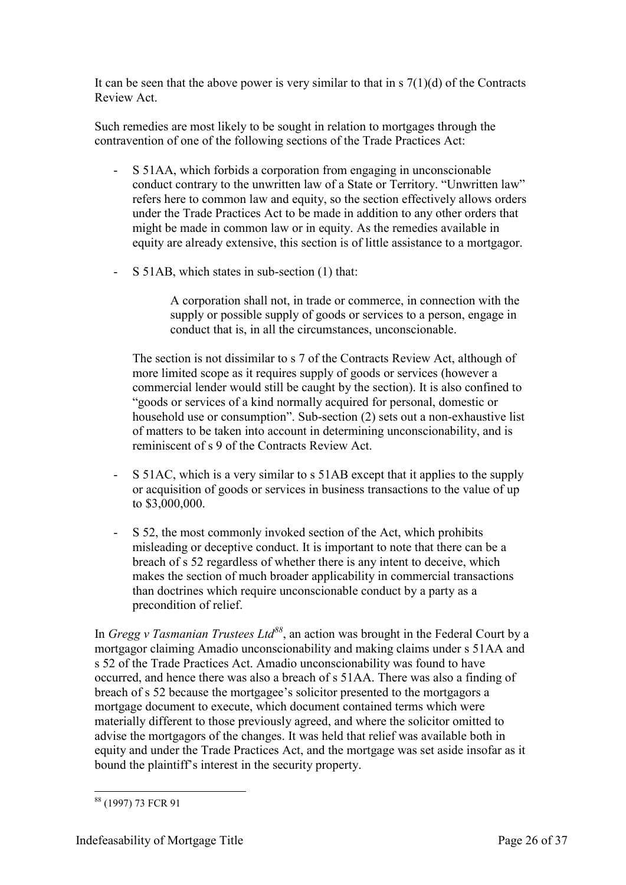It can be seen that the above power is very similar to that in  $\frac{s(1)}{d}$  of the Contracts Review Act.

Such remedies are most likely to be sought in relation to mortgages through the contravention of one of the following sections of the Trade Practices Act:

- S 51AA, which forbids a corporation from engaging in unconscionable conduct contrary to the unwritten law of a State or Territory. "Unwritten law" refers here to common law and equity, so the section effectively allows orders under the Trade Practices Act to be made in addition to any other orders that might be made in common law or in equity. As the remedies available in equity are already extensive, this section is of little assistance to a mortgagor.
- S 51AB, which states in sub-section (1) that:

A corporation shall not, in trade or commerce, in connection with the supply or possible supply of goods or services to a person, engage in conduct that is, in all the circumstances, unconscionable.

The section is not dissimilar to s 7 of the Contracts Review Act, although of more limited scope as it requires supply of goods or services (however a commercial lender would still be caught by the section). It is also confined to "goods or services of a kind normally acquired for personal, domestic or household use or consumption". Sub-section (2) sets out a non-exhaustive list of matters to be taken into account in determining unconscionability, and is reminiscent of s 9 of the Contracts Review Act.

- S 51AC, which is a very similar to s 51AB except that it applies to the supply or acquisition of goods or services in business transactions to the value of up to \$3,000,000.
- S 52, the most commonly invoked section of the Act, which prohibits misleading or deceptive conduct. It is important to note that there can be a breach of s 52 regardless of whether there is any intent to deceive, which makes the section of much broader applicability in commercial transactions than doctrines which require unconscionable conduct by a party as a precondition of relief.

In *Gregg v Tasmanian Trustees Ltd<sup>88</sup>*, an action was brought in the Federal Court by a mortgagor claiming Amadio unconscionability and making claims under s 51AA and s 52 of the Trade Practices Act. Amadio unconscionability was found to have occurred, and hence there was also a breach of s 51AA. There was also a finding of breach of s 52 because the mortgagee's solicitor presented to the mortgagors a mortgage document to execute, which document contained terms which were materially different to those previously agreed, and where the solicitor omitted to advise the mortgagors of the changes. It was held that relief was available both in equity and under the Trade Practices Act, and the mortgage was set aside insofar as it bound the plaintiff's interest in the security property.

<sup>-</sup><sup>88</sup> (1997) 73 FCR 91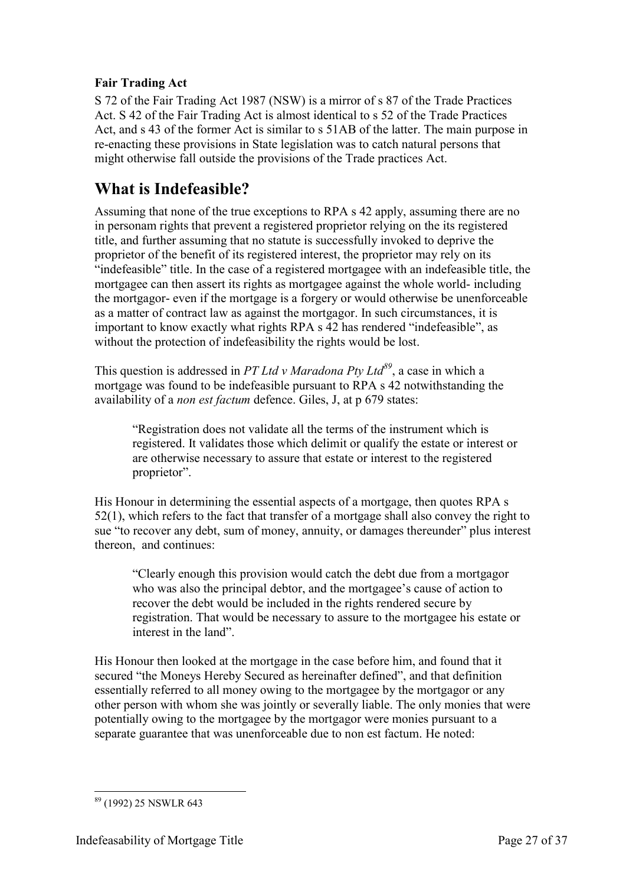#### <span id="page-26-0"></span>**Fair Trading Act**

S 72 of the Fair Trading Act 1987 (NSW) is a mirror of s 87 of the Trade Practices Act. S 42 of the Fair Trading Act is almost identical to s 52 of the Trade Practices Act, and s 43 of the former Act is similar to s 51AB of the latter. The main purpose in re-enacting these provisions in State legislation was to catch natural persons that might otherwise fall outside the provisions of the Trade practices Act.

# <span id="page-26-1"></span>**What is Indefeasible?**

Assuming that none of the true exceptions to RPA s 42 apply, assuming there are no in personam rights that prevent a registered proprietor relying on the its registered title, and further assuming that no statute is successfully invoked to deprive the proprietor of the benefit of its registered interest, the proprietor may rely on its "indefeasible" title. In the case of a registered mortgagee with an indefeasible title, the mortgagee can then assert its rights as mortgagee against the whole world- including the mortgagor- even if the mortgage is a forgery or would otherwise be unenforceable as a matter of contract law as against the mortgagor. In such circumstances, it is important to know exactly what rights RPA s 42 has rendered "indefeasible", as without the protection of indefeasibility the rights would be lost.

This question is addressed in *PT Ltd v Maradona Pty Ltd<sup>89</sup>*, a case in which a mortgage was found to be indefeasible pursuant to RPA s 42 notwithstanding the availability of a *non est factum* defence. Giles, J, at p 679 states:

"Registration does not validate all the terms of the instrument which is registered. It validates those which delimit or qualify the estate or interest or are otherwise necessary to assure that estate or interest to the registered proprietor".

His Honour in determining the essential aspects of a mortgage, then quotes RPA s 52(1), which refers to the fact that transfer of a mortgage shall also convey the right to sue "to recover any debt, sum of money, annuity, or damages thereunder" plus interest thereon, and continues:

"Clearly enough this provision would catch the debt due from a mortgagor who was also the principal debtor, and the mortgagee's cause of action to recover the debt would be included in the rights rendered secure by registration. That would be necessary to assure to the mortgagee his estate or interest in the land".

His Honour then looked at the mortgage in the case before him, and found that it secured "the Moneys Hereby Secured as hereinafter defined", and that definition essentially referred to all money owing to the mortgagee by the mortgagor or any other person with whom she was jointly or severally liable. The only monies that were potentially owing to the mortgagee by the mortgagor were monies pursuant to a separate guarantee that was unenforceable due to non est factum. He noted:

<sup>-</sup><sup>89</sup> (1992) 25 NSWLR 643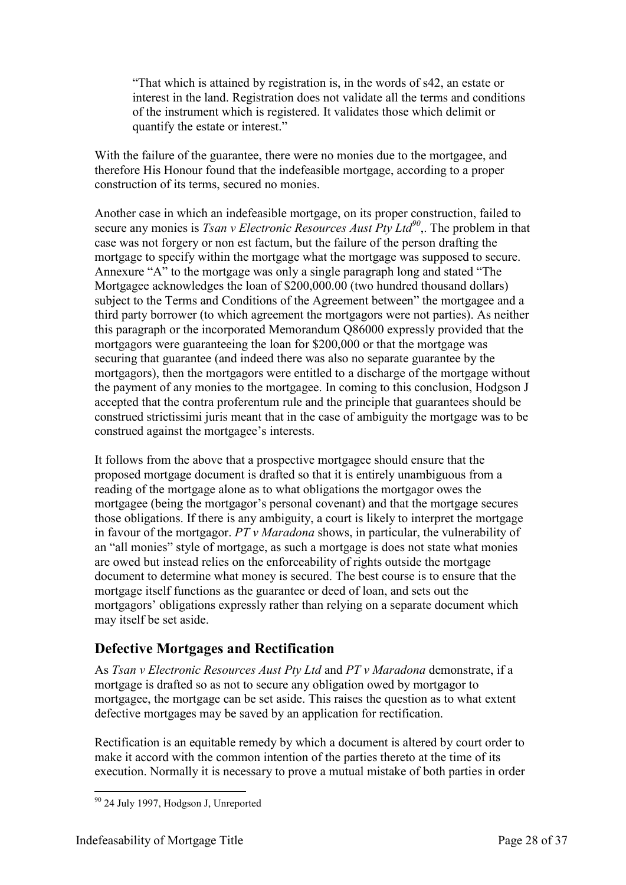"That which is attained by registration is, in the words of s42, an estate or interest in the land. Registration does not validate all the terms and conditions of the instrument which is registered. It validates those which delimit or quantify the estate or interest."

With the failure of the guarantee, there were no monies due to the mortgagee, and therefore His Honour found that the indefeasible mortgage, according to a proper construction of its terms, secured no monies.

Another case in which an indefeasible mortgage, on its proper construction, failed to secure any monies is *Tsan v Electronic Resources Aust Pty Ltd<sup>90</sup>*,. The problem in that case was not forgery or non est factum, but the failure of the person drafting the mortgage to specify within the mortgage what the mortgage was supposed to secure. Annexure "A" to the mortgage was only a single paragraph long and stated "The Mortgagee acknowledges the loan of \$200,000.00 (two hundred thousand dollars) subject to the Terms and Conditions of the Agreement between" the mortgagee and a third party borrower (to which agreement the mortgagors were not parties). As neither this paragraph or the incorporated Memorandum Q86000 expressly provided that the mortgagors were guaranteeing the loan for \$200,000 or that the mortgage was securing that guarantee (and indeed there was also no separate guarantee by the mortgagors), then the mortgagors were entitled to a discharge of the mortgage without the payment of any monies to the mortgagee. In coming to this conclusion, Hodgson J accepted that the contra proferentum rule and the principle that guarantees should be construed strictissimi juris meant that in the case of ambiguity the mortgage was to be construed against the mortgagee's interests.

It follows from the above that a prospective mortgagee should ensure that the proposed mortgage document is drafted so that it is entirely unambiguous from a reading of the mortgage alone as to what obligations the mortgagor owes the mortgagee (being the mortgagor's personal covenant) and that the mortgage secures those obligations. If there is any ambiguity, a court is likely to interpret the mortgage in favour of the mortgagor. *PT v Maradona* shows, in particular, the vulnerability of an "all monies" style of mortgage, as such a mortgage is does not state what monies are owed but instead relies on the enforceability of rights outside the mortgage document to determine what money is secured. The best course is to ensure that the mortgage itself functions as the guarantee or deed of loan, and sets out the mortgagors' obligations expressly rather than relying on a separate document which may itself be set aside.

## <span id="page-27-0"></span>**Defective Mortgages and Rectification**

As *Tsan v Electronic Resources Aust Pty Ltd* and *PT v Maradona* demonstrate, if a mortgage is drafted so as not to secure any obligation owed by mortgagor to mortgagee, the mortgage can be set aside. This raises the question as to what extent defective mortgages may be saved by an application for rectification.

Rectification is an equitable remedy by which a document is altered by court order to make it accord with the common intention of the parties thereto at the time of its execution. Normally it is necessary to prove a mutual mistake of both parties in order

<sup>-</sup><sup>90</sup> 24 July 1997, Hodgson J, Unreported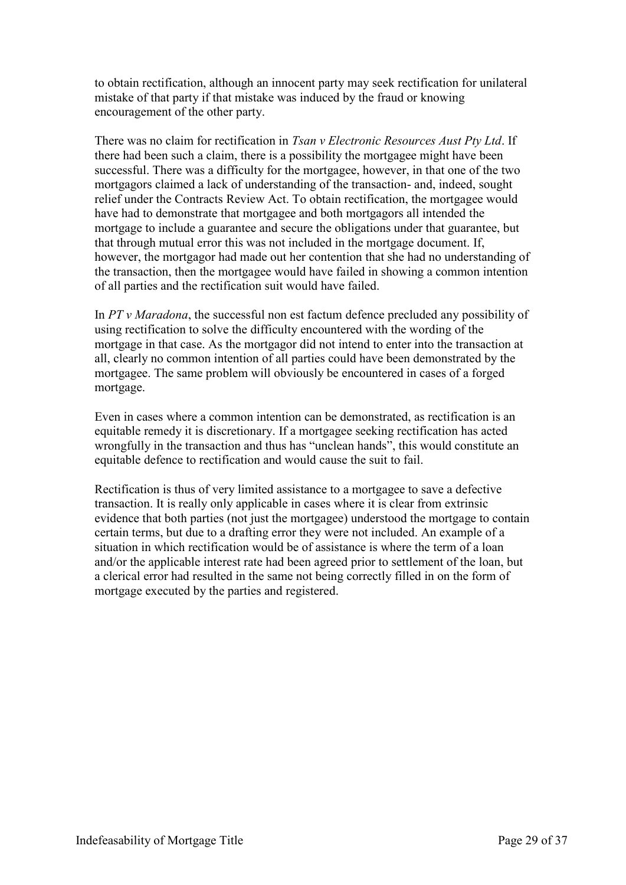to obtain rectification, although an innocent party may seek rectification for unilateral mistake of that party if that mistake was induced by the fraud or knowing encouragement of the other party.

There was no claim for rectification in *Tsan v Electronic Resources Aust Pty Ltd*. If there had been such a claim, there is a possibility the mortgagee might have been successful. There was a difficulty for the mortgagee, however, in that one of the two mortgagors claimed a lack of understanding of the transaction- and, indeed, sought relief under the Contracts Review Act. To obtain rectification, the mortgagee would have had to demonstrate that mortgagee and both mortgagors all intended the mortgage to include a guarantee and secure the obligations under that guarantee, but that through mutual error this was not included in the mortgage document. If, however, the mortgagor had made out her contention that she had no understanding of the transaction, then the mortgagee would have failed in showing a common intention of all parties and the rectification suit would have failed.

In *PT v Maradona*, the successful non est factum defence precluded any possibility of using rectification to solve the difficulty encountered with the wording of the mortgage in that case. As the mortgagor did not intend to enter into the transaction at all, clearly no common intention of all parties could have been demonstrated by the mortgagee. The same problem will obviously be encountered in cases of a forged mortgage.

Even in cases where a common intention can be demonstrated, as rectification is an equitable remedy it is discretionary. If a mortgagee seeking rectification has acted wrongfully in the transaction and thus has "unclean hands", this would constitute an equitable defence to rectification and would cause the suit to fail.

Rectification is thus of very limited assistance to a mortgagee to save a defective transaction. It is really only applicable in cases where it is clear from extrinsic evidence that both parties (not just the mortgagee) understood the mortgage to contain certain terms, but due to a drafting error they were not included. An example of a situation in which rectification would be of assistance is where the term of a loan and/or the applicable interest rate had been agreed prior to settlement of the loan, but a clerical error had resulted in the same not being correctly filled in on the form of mortgage executed by the parties and registered.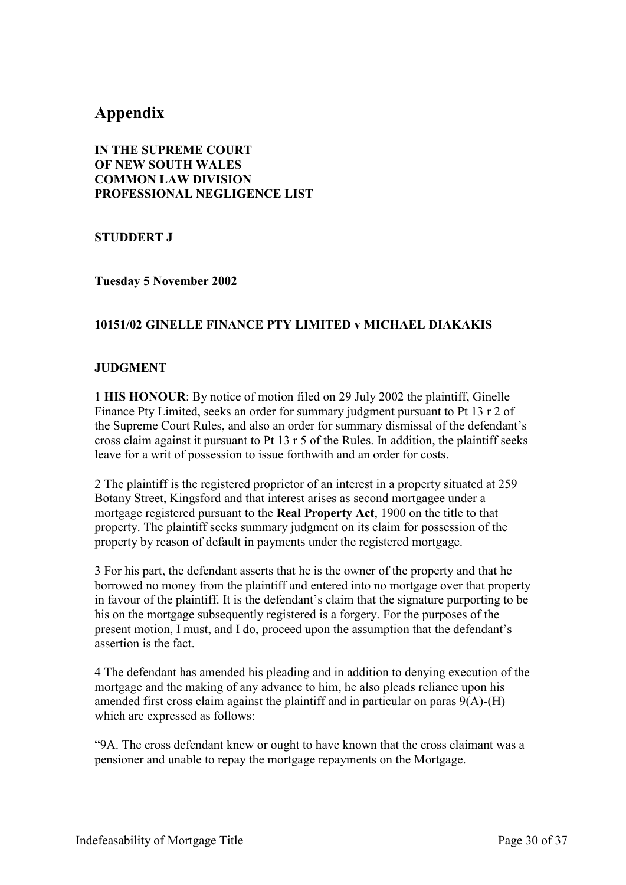## <span id="page-29-0"></span>**Appendix**

**IN THE SUPREME COURT OF NEW SOUTH WALES COMMON LAW DIVISION PROFESSIONAL NEGLIGENCE LIST**

**STUDDERT J**

**Tuesday 5 November 2002**

#### **10151/02 GINELLE FINANCE PTY LIMITED v MICHAEL DIAKAKIS**

#### **JUDGMENT**

1 **HIS HONOUR**: By notice of motion filed on 29 July 2002 the plaintiff, Ginelle Finance Pty Limited, seeks an order for summary judgment pursuant to Pt 13 r 2 of the Supreme Court Rules, and also an order for summary dismissal of the defendant's cross claim against it pursuant to Pt 13 r 5 of the Rules. In addition, the plaintiff seeks leave for a writ of possession to issue forthwith and an order for costs.

2 The plaintiff is the registered proprietor of an interest in a property situated at 259 Botany Street, Kingsford and that interest arises as second mortgagee under a mortgage registered pursuant to the **Real Property Act**, 1900 on the title to that property. The plaintiff seeks summary judgment on its claim for possession of the property by reason of default in payments under the registered mortgage.

3 For his part, the defendant asserts that he is the owner of the property and that he borrowed no money from the plaintiff and entered into no mortgage over that property in favour of the plaintiff. It is the defendant's claim that the signature purporting to be his on the mortgage subsequently registered is a forgery. For the purposes of the present motion, I must, and I do, proceed upon the assumption that the defendant's assertion is the fact.

4 The defendant has amended his pleading and in addition to denying execution of the mortgage and the making of any advance to him, he also pleads reliance upon his amended first cross claim against the plaintiff and in particular on paras 9(A)-(H) which are expressed as follows:

"9A. The cross defendant knew or ought to have known that the cross claimant was a pensioner and unable to repay the mortgage repayments on the Mortgage.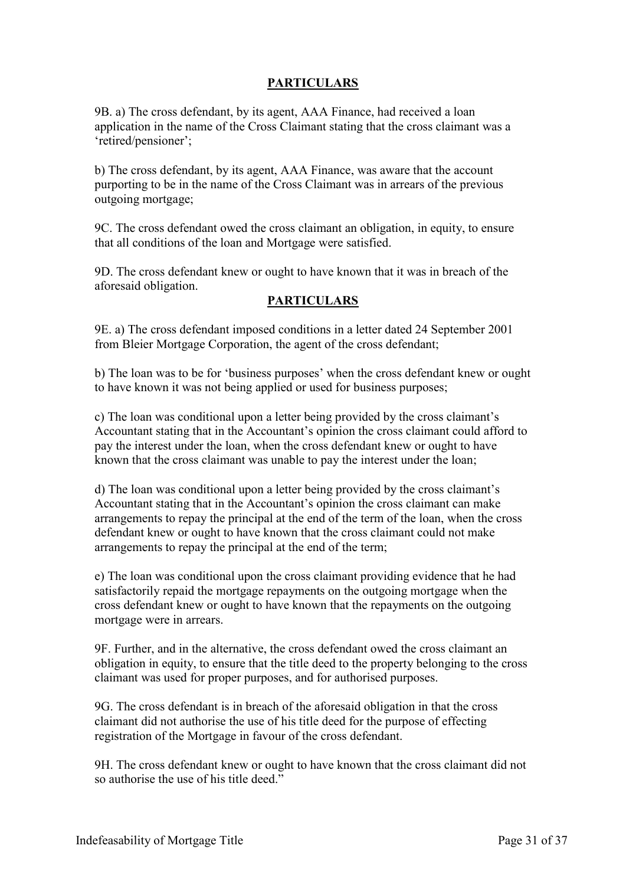#### **PARTICULARS**

9B. a) The cross defendant, by its agent, AAA Finance, had received a loan application in the name of the Cross Claimant stating that the cross claimant was a 'retired/pensioner';

b) The cross defendant, by its agent, AAA Finance, was aware that the account purporting to be in the name of the Cross Claimant was in arrears of the previous outgoing mortgage;

9C. The cross defendant owed the cross claimant an obligation, in equity, to ensure that all conditions of the loan and Mortgage were satisfied.

9D. The cross defendant knew or ought to have known that it was in breach of the aforesaid obligation.

#### **PARTICULARS**

9E. a) The cross defendant imposed conditions in a letter dated 24 September 2001 from Bleier Mortgage Corporation, the agent of the cross defendant;

b) The loan was to be for 'business purposes' when the cross defendant knew or ought to have known it was not being applied or used for business purposes;

c) The loan was conditional upon a letter being provided by the cross claimant's Accountant stating that in the Accountant's opinion the cross claimant could afford to pay the interest under the loan, when the cross defendant knew or ought to have known that the cross claimant was unable to pay the interest under the loan;

d) The loan was conditional upon a letter being provided by the cross claimant's Accountant stating that in the Accountant's opinion the cross claimant can make arrangements to repay the principal at the end of the term of the loan, when the cross defendant knew or ought to have known that the cross claimant could not make arrangements to repay the principal at the end of the term;

e) The loan was conditional upon the cross claimant providing evidence that he had satisfactorily repaid the mortgage repayments on the outgoing mortgage when the cross defendant knew or ought to have known that the repayments on the outgoing mortgage were in arrears.

9F. Further, and in the alternative, the cross defendant owed the cross claimant an obligation in equity, to ensure that the title deed to the property belonging to the cross claimant was used for proper purposes, and for authorised purposes.

9G. The cross defendant is in breach of the aforesaid obligation in that the cross claimant did not authorise the use of his title deed for the purpose of effecting registration of the Mortgage in favour of the cross defendant.

9H. The cross defendant knew or ought to have known that the cross claimant did not so authorise the use of his title deed."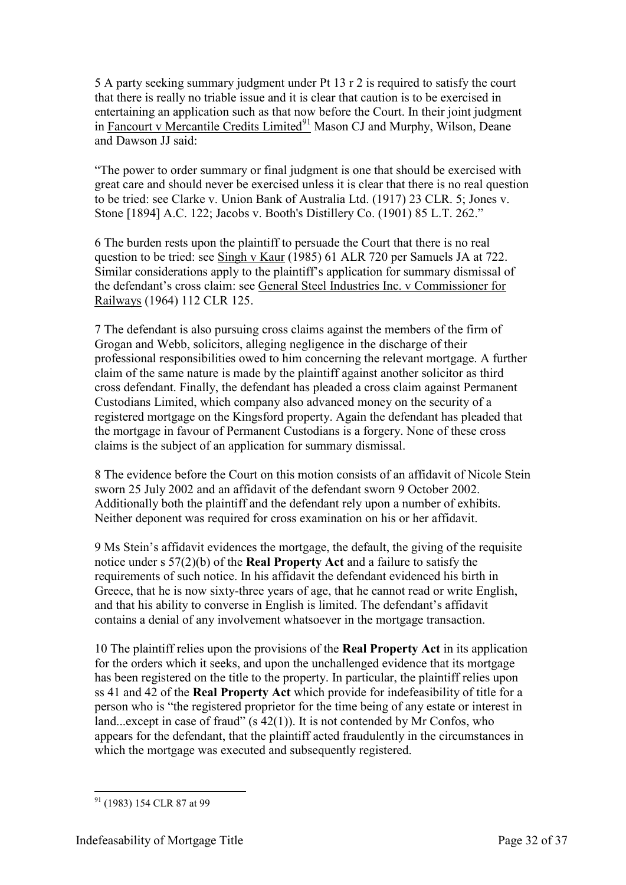5 A party seeking summary judgment under Pt 13 r 2 is required to satisfy the court that there is really no triable issue and it is clear that caution is to be exercised in entertaining an application such as that now before the Court. In their joint judgment in Fancourt v Mercantile Credits  $\text{Limited}^{91}$  Mason CJ and Murphy, Wilson, Deane and Dawson JJ said:

"The power to order summary or final judgment is one that should be exercised with great care and should never be exercised unless it is clear that there is no real question to be tried: see Clarke v. Union Bank of Australia Ltd. (1917) 23 CLR. 5; Jones v. Stone [1894] A.C. 122; Jacobs v. Booth's Distillery Co. (1901) 85 L.T. 262."

6 The burden rests upon the plaintiff to persuade the Court that there is no real question to be tried: see Singh v Kaur (1985) 61 ALR 720 per Samuels JA at 722. Similar considerations apply to the plaintiff's application for summary dismissal of the defendant's cross claim: see General Steel Industries Inc. v Commissioner for Railways (1964) 112 CLR 125.

7 The defendant is also pursuing cross claims against the members of the firm of Grogan and Webb, solicitors, alleging negligence in the discharge of their professional responsibilities owed to him concerning the relevant mortgage. A further claim of the same nature is made by the plaintiff against another solicitor as third cross defendant. Finally, the defendant has pleaded a cross claim against Permanent Custodians Limited, which company also advanced money on the security of a registered mortgage on the Kingsford property. Again the defendant has pleaded that the mortgage in favour of Permanent Custodians is a forgery. None of these cross claims is the subject of an application for summary dismissal.

8 The evidence before the Court on this motion consists of an affidavit of Nicole Stein sworn 25 July 2002 and an affidavit of the defendant sworn 9 October 2002. Additionally both the plaintiff and the defendant rely upon a number of exhibits. Neither deponent was required for cross examination on his or her affidavit.

9 Ms Stein's affidavit evidences the mortgage, the default, the giving of the requisite notice under s 57(2)(b) of the **Real Property Act** and a failure to satisfy the requirements of such notice. In his affidavit the defendant evidenced his birth in Greece, that he is now sixty-three years of age, that he cannot read or write English, and that his ability to converse in English is limited. The defendant's affidavit contains a denial of any involvement whatsoever in the mortgage transaction.

10 The plaintiff relies upon the provisions of the **Real Property Act** in its application for the orders which it seeks, and upon the unchallenged evidence that its mortgage has been registered on the title to the property. In particular, the plaintiff relies upon ss 41 and 42 of the **Real Property Act** which provide for indefeasibility of title for a person who is "the registered proprietor for the time being of any estate or interest in land...except in case of fraud"  $(s 42(1))$ . It is not contended by Mr Confos, who appears for the defendant, that the plaintiff acted fraudulently in the circumstances in which the mortgage was executed and subsequently registered.

<sup>-</sup><sup>91</sup> (1983) 154 CLR 87 at 99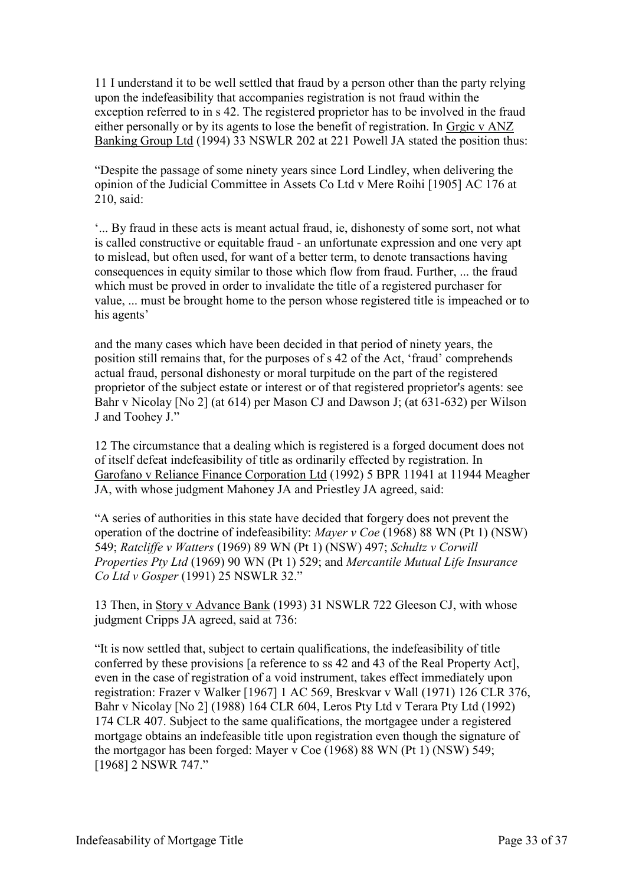11 I understand it to be well settled that fraud by a person other than the party relying upon the indefeasibility that accompanies registration is not fraud within the exception referred to in s 42. The registered proprietor has to be involved in the fraud either personally or by its agents to lose the benefit of registration. In Grgic v ANZ Banking Group Ltd (1994) 33 NSWLR 202 at 221 Powell JA stated the position thus:

"Despite the passage of some ninety years since Lord Lindley, when delivering the opinion of the Judicial Committee in Assets Co Ltd v Mere Roihi [1905] AC 176 at 210, said:

'... By fraud in these acts is meant actual fraud, ie, dishonesty of some sort, not what is called constructive or equitable fraud - an unfortunate expression and one very apt to mislead, but often used, for want of a better term, to denote transactions having consequences in equity similar to those which flow from fraud. Further, ... the fraud which must be proved in order to invalidate the title of a registered purchaser for value, ... must be brought home to the person whose registered title is impeached or to his agents'

and the many cases which have been decided in that period of ninety years, the position still remains that, for the purposes of s 42 of the Act, 'fraud' comprehends actual fraud, personal dishonesty or moral turpitude on the part of the registered proprietor of the subject estate or interest or of that registered proprietor's agents: see Bahr v Nicolay [No 2] (at 614) per Mason CJ and Dawson J; (at 631-632) per Wilson J and Toohey J."

12 The circumstance that a dealing which is registered is a forged document does not of itself defeat indefeasibility of title as ordinarily effected by registration. In Garofano v Reliance Finance Corporation Ltd (1992) 5 BPR 11941 at 11944 Meagher JA, with whose judgment Mahoney JA and Priestley JA agreed, said:

"A series of authorities in this state have decided that forgery does not prevent the operation of the doctrine of indefeasibility: *Mayer v Coe* (1968) 88 WN (Pt 1) (NSW) 549; *Ratcliffe v Watters* (1969) 89 WN (Pt 1) (NSW) 497; *Schultz v Corwill Properties Pty Ltd* (1969) 90 WN (Pt 1) 529; and *Mercantile Mutual Life Insurance Co Ltd v Gosper* (1991) 25 NSWLR 32."

13 Then, in Story v Advance Bank (1993) 31 NSWLR 722 Gleeson CJ, with whose judgment Cripps JA agreed, said at 736:

"It is now settled that, subject to certain qualifications, the indefeasibility of title conferred by these provisions [a reference to ss 42 and 43 of the Real Property Act], even in the case of registration of a void instrument, takes effect immediately upon registration: Frazer v Walker [1967] 1 AC 569, Breskvar v Wall (1971) 126 CLR 376, Bahr v Nicolay [No 2] (1988) 164 CLR 604, Leros Pty Ltd v Terara Pty Ltd (1992) 174 CLR 407. Subject to the same qualifications, the mortgagee under a registered mortgage obtains an indefeasible title upon registration even though the signature of the mortgagor has been forged: Mayer v Coe (1968) 88 WN (Pt 1) (NSW) 549; [1968] 2 NSWR 747."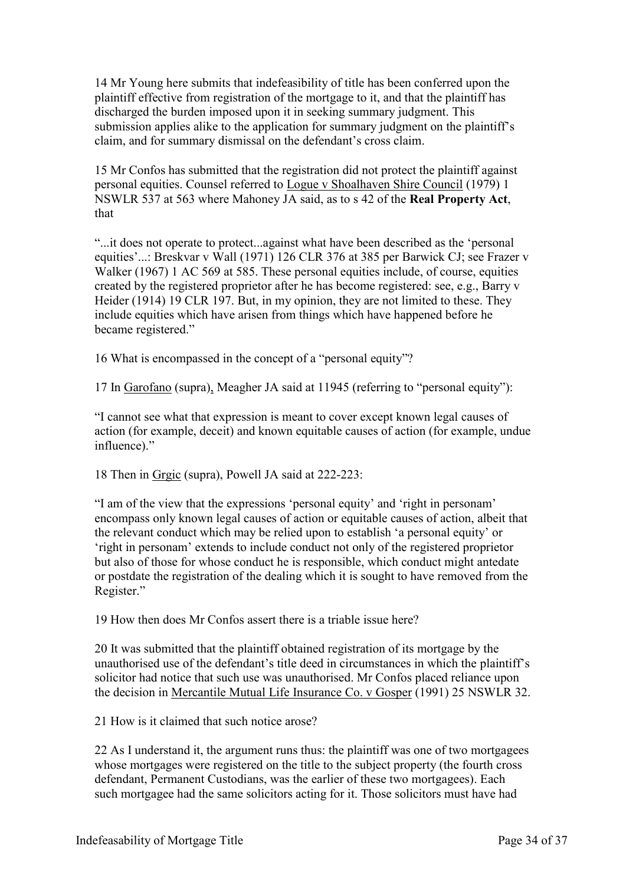14 Mr Young here submits that indefeasibility of title has been conferred upon the plaintiff effective from registration of the mortgage to it, and that the plaintiff has discharged the burden imposed upon it in seeking summary judgment. This submission applies alike to the application for summary judgment on the plaintiff's claim, and for summary dismissal on the defendant's cross claim.

15 Mr Confos has submitted that the registration did not protect the plaintiff against personal equities. Counsel referred to Logue v Shoalhaven Shire Council (1979) 1 NSWLR 537 at 563 where Mahoney JA said, as to s 42 of the **Real Property Act**, that

"...it does not operate to protect...against what have been described as the 'personal equities'...: Breskvar v Wall (1971) 126 CLR 376 at 385 per Barwick CJ; see Frazer v Walker (1967) 1 AC 569 at 585. These personal equities include, of course, equities created by the registered proprietor after he has become registered: see, e.g., Barry v Heider (1914) 19 CLR 197. But, in my opinion, they are not limited to these. They include equities which have arisen from things which have happened before he became registered."

16 What is encompassed in the concept of a "personal equity"?

17 In Garofano (supra), Meagher JA said at 11945 (referring to "personal equity"):

"I cannot see what that expression is meant to cover except known legal causes of action (for example, deceit) and known equitable causes of action (for example, undue influence)."

18 Then in Grgic (supra), Powell JA said at 222-223:

"I am of the view that the expressions 'personal equity' and 'right in personam' encompass only known legal causes of action or equitable causes of action, albeit that the relevant conduct which may be relied upon to establish 'a personal equity' or 'right in personam' extends to include conduct not only of the registered proprietor but also of those for whose conduct he is responsible, which conduct might antedate or postdate the registration of the dealing which it is sought to have removed from the Register."

19 How then does Mr Confos assert there is a triable issue here?

20 It was submitted that the plaintiff obtained registration of its mortgage by the unauthorised use of the defendant's title deed in circumstances in which the plaintiff's solicitor had notice that such use was unauthorised. Mr Confos placed reliance upon the decision in Mercantile Mutual Life Insurance Co. v Gosper (1991) 25 NSWLR 32.

21 How is it claimed that such notice arose?

22 As I understand it, the argument runs thus: the plaintiff was one of two mortgagees whose mortgages were registered on the title to the subject property (the fourth cross defendant, Permanent Custodians, was the earlier of these two mortgagees). Each such mortgagee had the same solicitors acting for it. Those solicitors must have had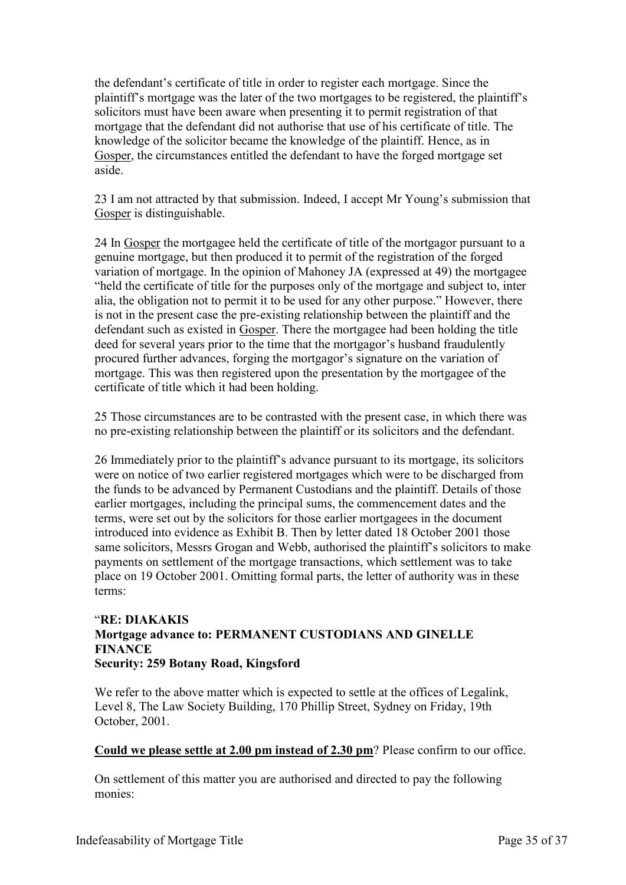the defendant's certificate of title in order to register each mortgage. Since the plaintiff's mortgage was the later of the two mortgages to be registered, the plaintiff's solicitors must have been aware when presenting it to permit registration of that mortgage that the defendant did not authorise that use of his certificate of title. The knowledge of the solicitor became the knowledge of the plaintiff. Hence, as in Gosper, the circumstances entitled the defendant to have the forged mortgage set aside.

23 I am not attracted by that submission. Indeed, I accept Mr Young's submission that Gosper is distinguishable.

24 In Gosper the mortgagee held the certificate of title of the mortgagor pursuant to a genuine mortgage, but then produced it to permit of the registration of the forged variation of mortgage. In the opinion of Mahoney JA (expressed at 49) the mortgagee "held the certificate of title for the purposes only of the mortgage and subject to, inter alia, the obligation not to permit it to be used for any other purpose." However, there is not in the present case the pre-existing relationship between the plaintiff and the defendant such as existed in Gosper. There the mortgagee had been holding the title deed for several years prior to the time that the mortgagor's husband fraudulently procured further advances, forging the mortgagor's signature on the variation of mortgage. This was then registered upon the presentation by the mortgagee of the certificate of title which it had been holding.

25 Those circumstances are to be contrasted with the present case, in which there was no pre-existing relationship between the plaintiff or its solicitors and the defendant.

26 Immediately prior to the plaintiff's advance pursuant to its mortgage, its solicitors were on notice of two earlier registered mortgages which were to be discharged from the funds to be advanced by Permanent Custodians and the plaintiff. Details of those earlier mortgages, including the principal sums, the commencement dates and the terms, were set out by the solicitors for those earlier mortgagees in the document introduced into evidence as Exhibit B. Then by letter dated 18 October 2001 those same solicitors, Messrs Grogan and Webb, authorised the plaintiff's solicitors to make payments on settlement of the mortgage transactions, which settlement was to take place on 19 October 2001. Omitting formal parts, the letter of authority was in these terms:

#### "**RE: DIAKAKIS Mortgage advance to: PERMANENT CUSTODIANS AND GINELLE FINANCE Security: 259 Botany Road, Kingsford**

We refer to the above matter which is expected to settle at the offices of Legalink, Level 8, The Law Society Building, 170 Phillip Street, Sydney on Friday, 19th October, 2001.

#### **Could we please settle at 2.00 pm instead of 2.30 pm**? Please confirm to our office.

On settlement of this matter you are authorised and directed to pay the following monies: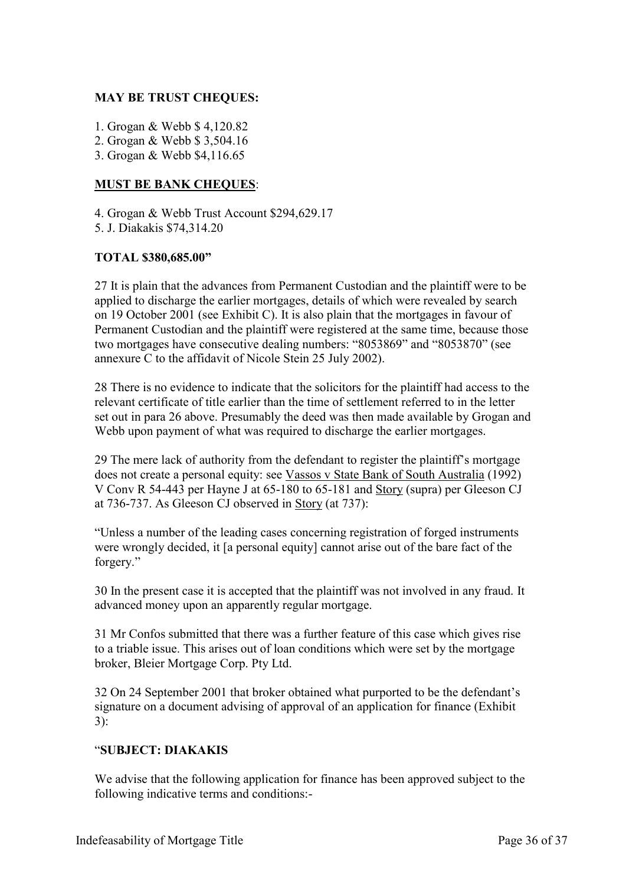#### **MAY BE TRUST CHEQUES:**

- 1. Grogan & Webb \$ 4,120.82
- 2. Grogan & Webb \$ 3,504.16
- 3. Grogan & Webb \$4,116.65

#### **MUST BE BANK CHEQUES**:

4. Grogan & Webb Trust Account \$294,629.17

5. J. Diakakis \$74,314.20

#### **TOTAL \$380,685.00"**

27 It is plain that the advances from Permanent Custodian and the plaintiff were to be applied to discharge the earlier mortgages, details of which were revealed by search on 19 October 2001 (see Exhibit C). It is also plain that the mortgages in favour of Permanent Custodian and the plaintiff were registered at the same time, because those two mortgages have consecutive dealing numbers: "8053869" and "8053870" (see annexure C to the affidavit of Nicole Stein 25 July 2002).

28 There is no evidence to indicate that the solicitors for the plaintiff had access to the relevant certificate of title earlier than the time of settlement referred to in the letter set out in para 26 above. Presumably the deed was then made available by Grogan and Webb upon payment of what was required to discharge the earlier mortgages.

29 The mere lack of authority from the defendant to register the plaintiff's mortgage does not create a personal equity: see Vassos v State Bank of South Australia (1992) V Conv R 54-443 per Hayne J at 65-180 to 65-181 and Story (supra) per Gleeson CJ at 736-737. As Gleeson CJ observed in Story (at 737):

"Unless a number of the leading cases concerning registration of forged instruments were wrongly decided, it [a personal equity] cannot arise out of the bare fact of the forgery."

30 In the present case it is accepted that the plaintiff was not involved in any fraud. It advanced money upon an apparently regular mortgage.

31 Mr Confos submitted that there was a further feature of this case which gives rise to a triable issue. This arises out of loan conditions which were set by the mortgage broker, Bleier Mortgage Corp. Pty Ltd.

32 On 24 September 2001 that broker obtained what purported to be the defendant's signature on a document advising of approval of an application for finance (Exhibit 3):

#### "**SUBJECT: DIAKAKIS**

We advise that the following application for finance has been approved subject to the following indicative terms and conditions:-